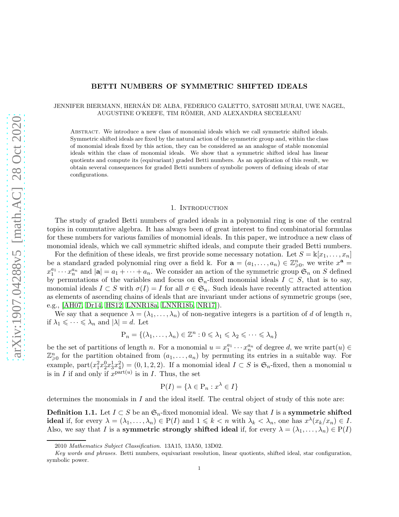# BETTI NUMBERS OF SYMMETRIC SHIFTED IDEALS

## JENNIFER BIERMANN, HERNAN DE ALBA, FEDERICO GALETTO, SATOSHI MURAI, UWE NAGEL, ´ AUGUSTINE O'KEEFE, TIM ROMER, AND ALEXANDRA SECELEANU

ABSTRACT. We introduce a new class of monomial ideals which we call symmetric shifted ideals. Symmetric shifted ideals are fixed by the natural action of the symmetric group and, within the class of monomial ideals fixed by this action, they can be considered as an analogue of stable monomial ideals within the class of monomial ideals. We show that a symmetric shifted ideal has linear quotients and compute its (equivariant) graded Betti numbers. As an application of this result, we obtain several consequences for graded Betti numbers of symbolic powers of defining ideals of star configurations.

### 1. INTRODUCTION

The study of graded Betti numbers of graded ideals in a polynomial ring is one of the central topics in commutative algebra. It has always been of great interest to find combinatorial formulas for these numbers for various families of monomial ideals. In this paper, we introduce a new class of monomial ideals, which we call symmetric shifted ideals, and compute their graded Betti numbers.

For the definition of these ideals, we first provide some necessary notation. Let  $S = \mathbb{k}[x_1, \ldots, x_n]$ be a standard graded polynomial ring over a field k. For  $\mathbf{a} = (a_1, \ldots, a_n) \in \mathbb{Z}_{\geqslant 0}^n$ , we write  $x^{\mathbf{a}} =$  $x_1^{a_1} \cdots x_n^{a_n}$  and  $|\mathbf{a}| = a_1 + \cdots + a_n$ . We consider an action of the symmetric group  $\mathfrak{S}_n$  on S defined by permutations of the variables and focus on  $\mathfrak{S}_n$ -fixed monomial ideals  $I \subset S$ , that is to say, monomial ideals  $I \subset S$  with  $\sigma(I) = I$  for all  $\sigma \in \mathfrak{S}_n$ . Such ideals have recently attracted attention as elements of ascending chains of ideals that are invariant under actions of symmetric groups (see, e.g., [\[AH07,](#page-22-0) [Dr14,](#page-22-1) [HS12,](#page-23-0) [LNNR18a,](#page-23-1) [LNNR18b,](#page-23-2) [NR17\]](#page-23-3)).

We say that a sequence  $\lambda = (\lambda_1, \ldots, \lambda_n)$  of non-negative integers is a partition of d of length n, if  $\lambda_1 \leqslant \cdots \leqslant \lambda_n$  and  $|\lambda| = d$ . Let

$$
P_n = \{(\lambda_1, \ldots, \lambda_n) \in \mathbb{Z}^n : 0 \leq \lambda_1 \leq \lambda_2 \leq \cdots \leq \lambda_n\}
$$

be the set of partitions of length n. For a monomial  $u = x_1^{a_1} \cdots x_n^{a_n}$  of degree d, we write part $(u) \in$  $\mathbb{Z}_{\geqslant 0}^n$  for the partition obtained from  $(a_1, \ldots, a_n)$  by permuting its entries in a suitable way. For example, part $(x_1^2x_2^0x_3^1x_4^2)=(0,1,2,2)$ . If a monomial ideal  $I\subset S$  is  $\mathfrak{S}_n$ -fixed, then a monomial u is in I if and only if  $x^{\text{part}(u)}$  is in I. Thus, the set

$$
P(I) = \{ \lambda \in P_n : x^{\lambda} \in I \}
$$

determines the monomials in  $I$  and the ideal itself. The central object of study of this note are:

<span id="page-0-0"></span>**Definition 1.1.** Let  $I \subset S$  be an  $\mathfrak{S}_n$ -fixed monomial ideal. We say that I is a **symmetric shifted** ideal if, for every  $\lambda = (\lambda_1, \ldots, \lambda_n) \in P(I)$  and  $1 \leq k < n$  with  $\lambda_k < \lambda_n$ , one has  $x^{\lambda}(x_k/x_n) \in I$ . Also, we say that I is a **symmetric strongly shifted ideal** if, for every  $\lambda = (\lambda_1, \dots, \lambda_n) \in P(I)$ 

<sup>2010</sup> Mathematics Subject Classification. 13A15, 13A50, 13D02.

Key words and phrases. Betti numbers, equivariant resolution, linear quotients, shifted ideal, star configuration, symbolic power.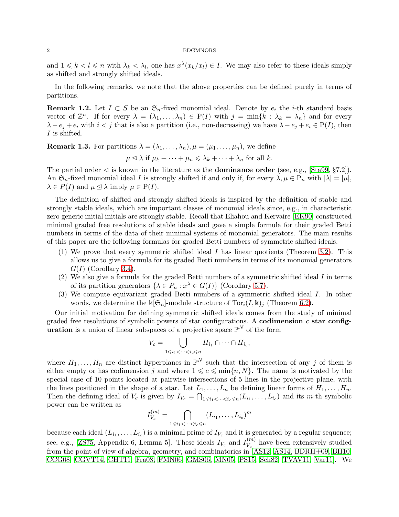and  $1 \leq k < l \leq n$  with  $\lambda_k < \lambda_l$ , one has  $x^{\lambda}(x_k/x_l) \in I$ . We may also refer to these ideals simply as shifted and strongly shifted ideals.

In the following remarks, we note that the above properties can be defined purely in terms of partitions.

**Remark 1.2.** Let  $I \subset S$  be an  $\mathfrak{S}_n$ -fixed monomial ideal. Denote by  $e_i$  the *i*-th standard basis vector of  $\mathbb{Z}^n$ . If for every  $\lambda = (\lambda_1, \ldots, \lambda_n) \in P(I)$  with  $j = \min\{k : \lambda_k = \lambda_n\}$  and for every  $\lambda - e_j + e_i$  with  $i < j$  that is also a partition (i.e., non-decreasing) we have  $\lambda - e_j + e_i \in P(I)$ , then I is shifted.

**Remark 1.3.** For partitions  $\lambda = (\lambda_1, \ldots, \lambda_n), \mu = (\mu_1, \ldots, \mu_n)$ , we define

$$
\mu \leq \lambda
$$
 if  $\mu_k + \cdots + \mu_n \leq \lambda_k + \cdots + \lambda_n$  for all  $k$ .

The partial order  $\leq$  is known in the literature as the **dominance order** (see, e.g., [\[Sta99,](#page-23-4) §7.2]). An  $\mathfrak{S}_n$ -fixed monomial ideal I is strongly shifted if and only if, for every  $\lambda, \mu \in \mathcal{P}_n$  with  $|\lambda| = |\mu|$ ,  $\lambda \in P(I)$  and  $\mu \leq \lambda$  imply  $\mu \in P(I)$ .

The definition of shifted and strongly shifted ideals is inspired by the definition of stable and strongly stable ideals, which are important classes of monomial ideals since, e.g., in characteristic zero generic initial initials are strongly stable. Recall that Eliahou and Kervaire [\[EK90\]](#page-22-2) constructed minimal graded free resolutions of stable ideals and gave a simple formula for their graded Betti numbers in terms of the data of their minimal systems of monomial generators. The main results of this paper are the following formulas for graded Betti numbers of symmetric shifted ideals.

- (1) We prove that every symmetric shifted ideal  $I$  has linear quotients (Theorem [3.2\)](#page-5-0). This allows us to give a formula for its graded Betti numbers in terms of its monomial generators  $G(I)$  (Corollary [3.4\)](#page-8-0).
- (2) We also give a formula for the graded Betti numbers of a symmetric shifted ideal  $I$  in terms of its partition generators  $\{\lambda \in P_n : x^{\lambda} \in G(I)\}\$  (Corollary [5.7\)](#page-16-0).
- (3) We compute equivariant graded Betti numbers of a symmetric shifted ideal I. In other words, we determine the  $\Bbbk[\mathfrak{S}_n]$ -module structure of  $\text{Tor}_i(I, \Bbbk)_i$  (Theorem [6.2\)](#page-18-0).

Our initial motivation for defining symmetric shifted ideals comes from the study of minimal graded free resolutions of symbolic powers of star configurations. A codimension  $c$  star config**uration** is a union of linear subspaces of a projective space  $\mathbb{P}^N$  of the form

$$
V_c = \bigcup_{1 \leq i_1 < \dots < i_c \leq n} H_{i_1} \cap \dots \cap H_{i_c},
$$

where  $H_1, \ldots, H_n$  are distinct hyperplanes in  $\mathbb{P}^N$  such that the intersection of any j of them is either empty or has codimension j and where  $1 \leq c \leq \min\{n, N\}$ . The name is motivated by the special case of 10 points located at pairwise intersections of 5 lines in the projective plane, with the lines positioned in the shape of a star. Let  $L_1, \ldots, L_n$  be defining linear forms of  $H_1, \ldots, H_n$ . Then the defining ideal of  $V_c$  is given by  $I_{V_c} = \bigcap_{1 \leq i_1 < \dots < i_c \leq n} (L_{i_1}, \dots, L_{i_c})$  and its m-th symbolic power can be written as

$$
I_{V_c}^{(m)} = \bigcap_{1 \leq i_1 < \dots < i_c \leq n} (L_{i_1}, \dots, L_{i_c})^m
$$

because each ideal  $(L_{i_1}, \ldots, L_{i_c})$  is a minimal prime of  $I_{V_c}$  and it is generated by a regular sequence; see, e.g., [\[ZS75,](#page-23-5) Appendix 6, Lemma 5]. These ideals  $I_{V_c}$  and  $I_{V_c}^{(m)}$  $V_c^{(m)}$  have been extensively studied from the point of view of algebra, geometry, and combinatorics in [\[AS12,](#page-22-3) [AS14,](#page-22-4) [BDRH+09,](#page-22-5) [BH10,](#page-22-6) [CCG08,](#page-22-7) [CGVT14,](#page-22-8) [CHT11,](#page-22-9) [Fra08,](#page-22-10) [FMN06,](#page-22-11) [GMS06,](#page-23-6) [MN05,](#page-23-7) [PS15,](#page-23-8) [Sch82,](#page-23-9) [TVAV11,](#page-23-10) [Var11\]](#page-23-11). We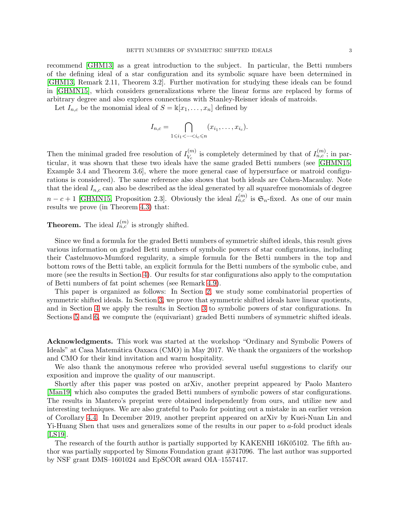recommend [\[GHM13\]](#page-23-12) as a great introduction to the subject. In particular, the Betti numbers of the defining ideal of a star configuration and its symbolic square have been determined in [\[GHM13,](#page-23-12) Remark 2.11, Theorem 3.2]. Further motivation for studying these ideals can be found in [\[GHMN15\]](#page-23-13), which considers generalizations where the linear forms are replaced by forms of arbitrary degree and also explores connections with Stanley-Reisner ideals of matroids.

Let  $I_{n,c}$  be the monomial ideal of  $S = \mathbb{k}[x_1, \ldots, x_n]$  defined by

$$
I_{n,c} = \bigcap_{1 \leq i_1 < \dots < i_c \leq n} (x_{i_1}, \dots, x_{i_c}).
$$

Then the minimal graded free resolution of  $I_V^{(m)}$  $V_c^{(m)}$  is completely determined by that of  $I_{n,c}^{(m)}$ ; in particular, it was shown that these two ideals have the same graded Betti numbers (see [\[GHMN15,](#page-23-13) Example 3.4 and Theorem 3.6], where the more general case of hypersurface or matroid configurations is considered). The same reference also shows that both ideals are Cohen-Macaulay. Note that the ideal  $I_{n,c}$  can also be described as the ideal generated by all squarefree monomials of degree  $n-c+1$  [\[GHMN15,](#page-23-13) Proposition 2.3]. Obviously the ideal  $I_{n,c}^{(m)}$  is  $\mathfrak{S}_n$ -fixed. As one of our main results we prove (in Theorem [4.3\)](#page-8-1) that:

**Theorem.** The ideal  $I_{n,c}^{(m)}$  is strongly shifted.

Since we find a formula for the graded Betti numbers of symmetric shifted ideals, this result gives various information on graded Betti numbers of symbolic powers of star configurations, including their Castelnuovo-Mumford regularity, a simple formula for the Betti numbers in the top and bottom rows of the Betti table, an explicit formula for the Betti numbers of the symbolic cube, and more (see the results in Section [4\)](#page-8-2). Our results for star configurations also apply to the computation of Betti numbers of fat point schemes (see Remark [4.9\)](#page-11-0).

This paper is organized as follows: In Section [2,](#page-3-0) we study some combinatorial properties of symmetric shifted ideals. In Section [3,](#page-5-1) we prove that symmetric shifted ideals have linear quotients, and in Section [4](#page-8-2) we apply the results in Section [3](#page-5-1) to symbolic powers of star configurations. In Sections [5](#page-11-1) and [6,](#page-17-0) we compute the (equivariant) graded Betti numbers of symmetric shifted ideals.

Acknowledgments. This work was started at the workshop "Ordinary and Symbolic Powers of Ideals" at Casa Matemática Oaxaca (CMO) in May 2017. We thank the organizers of the workshop and CMO for their kind invitation and warm hospitality.

We also thank the anonymous referee who provided several useful suggestions to clarify our exposition and improve the quality of our manuscript.

Shortly after this paper was posted on arXiv, another preprint appeared by Paolo Mantero [\[Man19\]](#page-23-14) which also computes the graded Betti numbers of symbolic powers of star configurations. The results in Mantero's preprint were obtained independently from ours, and utilize new and interesting techniques. We are also grateful to Paolo for pointing out a mistake in an earlier version of Corollary [4.4.](#page-9-0) In December 2019, another preprint appeared on arXiv by Kuei-Nuan Lin and Yi-Huang Shen that uses and generalizes some of the results in our paper to a-fold product ideals [\[LS19\]](#page-23-15).

The research of the fourth author is partially supported by KAKENHI 16K05102. The fifth author was partially supported by Simons Foundation grant #317096. The last author was supported by NSF grant DMS–1601024 and EpSCOR award OIA–1557417.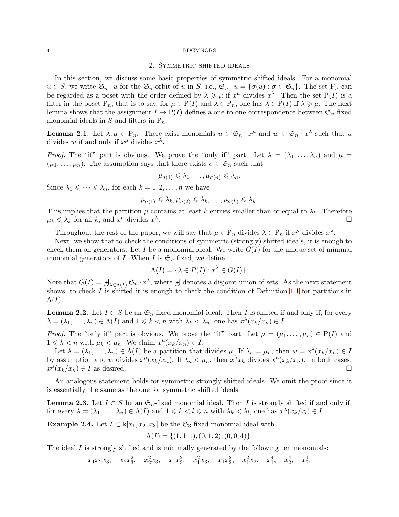### 2. Symmetric shifted ideals

<span id="page-3-0"></span>In this section, we discuss some basic properties of symmetric shifted ideals. For a monomial  $u \in S$ , we write  $\mathfrak{S}_n \cdot u$  for the  $\mathfrak{S}_n$ -orbit of u in S, i.e.,  $\mathfrak{S}_n \cdot u = {\sigma(u) : \sigma \in \mathfrak{S}_n}$ . The set  $P_n$  can be regarded as a poset with the order defined by  $\lambda \geq \mu$  if  $x^{\mu}$  divides  $x^{\lambda}$ . Then the set P(I) is a filter in the poset  $P_n$ , that is to say, for  $\mu \in P(I)$  and  $\lambda \in P_n$ , one has  $\lambda \in P(I)$  if  $\lambda \geq \mu$ . The next lemma shows that the assignment  $I \mapsto P(I)$  defines a one-to-one correspondence between  $\mathfrak{S}_n$ -fixed monomial ideals in S and filters in  $P_n$ .

<span id="page-3-1"></span>**Lemma 2.1.** Let  $\lambda, \mu \in P_n$ . There exist monomials  $u \in \mathfrak{S}_n \cdot x^{\mu}$  and  $w \in \mathfrak{S}_n \cdot x^{\lambda}$  such that u divides w if and only if  $x^{\mu}$  divides  $x^{\lambda}$ .

*Proof.* The "if" part is obvious. We prove the "only if" part. Let  $\lambda = (\lambda_1, \ldots, \lambda_n)$  and  $\mu =$  $(\mu_1, \ldots, \mu_n)$ . The assumption says that there exists  $\sigma \in \mathfrak{S}_n$  such that

$$
\mu_{\sigma(1)} \leqslant \lambda_1, \ldots, \mu_{\sigma(n)} \leqslant \lambda_n.
$$

Since  $\lambda_1 \leqslant \cdots \leqslant \lambda_n$ , for each  $k = 1, 2, \ldots, n$  we have

$$
\mu_{\sigma(1)} \leq \lambda_k, \mu_{\sigma(2)} \leq \lambda_k, \dots, \mu_{\sigma(k)} \leq \lambda_k.
$$

This implies that the partition  $\mu$  contains at least k entries smaller than or equal to  $\lambda_k$ . Therefore  $\mu_k \leq \lambda_k$  for all k, and  $x^{\mu}$  divides  $x^{\lambda}$ .

Throughout the rest of the paper, we will say that  $\mu \in P_n$  divides  $\lambda \in P_n$  if  $x^{\mu}$  divides  $x^{\lambda}$ .

Next, we show that to check the conditions of symmetric (strongly) shifted ideals, it is enough to check them on generators. Let I be a monomial ideal. We write  $G(I)$  for the unique set of minimal monomial generators of I. When I is  $\mathfrak{S}_n$ -fixed, we define

$$
\Lambda(I) = \{ \lambda \in P(I) : x^{\lambda} \in G(I) \}.
$$

Note that  $G(I) = \biguplus_{\lambda \in \Lambda(I)} \mathfrak{S}_n \cdot x^{\lambda}$ , where  $\biguplus$  denotes a disjoint union of sets. As the next statement shows, to check  $I$  is shifted it is enough to check the condition of Definition [1.1](#page-0-0) for partitions in  $\Lambda(I).$ 

**Lemma 2.2.** Let  $I \subset S$  be an  $\mathfrak{S}_n$ -fixed monomial ideal. Then I is shifted if and only if, for every  $\lambda = (\lambda_1, \ldots, \lambda_n) \in \Lambda(I)$  and  $1 \leq k < n$  with  $\lambda_k < \lambda_n$ , one has  $x^{\lambda}(x_k/x_n) \in I$ .

*Proof.* The "only if" part is obvious. We prove the "if" part. Let  $\mu = (\mu_1, \dots, \mu_n) \in P(I)$  and  $1 \leqslant k < n$  with  $\mu_k < \mu_n$ . We claim  $x^{\mu}(x_k/x_n) \in I$ .

Let  $\lambda = (\lambda_1, \ldots, \lambda_n) \in \Lambda(I)$  be a partition that divides  $\mu$ . If  $\lambda_n = \mu_n$ , then  $w = x^{\lambda}(x_k/x_n) \in I$ by assumption and w divides  $x^{\mu}(x_k/x_n)$ . If  $\lambda_n < \mu_n$ , then  $x^{\lambda}x_k$  divides  $x^{\mu}(x_k/x_n)$ . In both cases,  $x^{\mu}(x_k/x_n) \in I$  as desired.

An analogous statement holds for symmetric strongly shifted ideals. We omit the proof since it is essentially the same as the one for symmetric shifted ideals.

**Lemma 2.3.** Let  $I \subset S$  be an  $\mathfrak{S}_n$ -fixed monomial ideal. Then I is strongly shifted if and only if, for every  $\lambda = (\lambda_1, \ldots, \lambda_n) \in \Lambda(I)$  and  $1 \leq k < l \leq n$  with  $\lambda_k < \lambda_l$ , one has  $x^{\lambda}(x_k/x_l) \in I$ .

**Example 2.4.** Let  $I \subset \mathbb{K}[x_1, x_2, x_3]$  be the  $\mathfrak{S}_3$ -fixed monomial ideal with

$$
\Lambda(I) = \{(1, 1, 1), (0, 1, 2), (0, 0, 4)\}.
$$

The ideal  $I$  is strongly shifted and is minimally generated by the following ten monomials:

 $x_1x_2x_3$ ,  $x_2x_3^2$ ,  $x_2^2x_3$ ,  $x_1x_3^2$ ,  $x_1^2x_3$ ,  $x_1x_2^2$ ,  $x_1^2x_2$ ,  $x_1^4$ ,  $x_2^4$ ,  $x_3^4$ .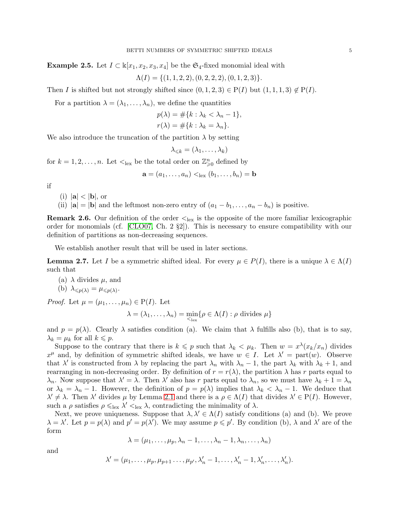**Example 2.5.** Let  $I \subset \mathbb{k}[x_1, x_2, x_3, x_4]$  be the  $\mathfrak{S}_4$ -fixed monomial ideal with

$$
\Lambda(I) = \{ (1, 1, 2, 2), (0, 2, 2, 2), (0, 1, 2, 3) \}.
$$

Then I is shifted but not strongly shifted since  $(0, 1, 2, 3) \in P(I)$  but  $(1, 1, 1, 3) \notin P(I)$ .

For a partition  $\lambda = (\lambda_1, \ldots, \lambda_n)$ , we define the quantities

$$
p(\lambda) = \#\{k : \lambda_k < \lambda_n - 1\},
$$
  

$$
p(\lambda) = \#\{k : \lambda_k = \lambda_k\}
$$

$$
r(\lambda) = \#\{k : \lambda_k = \lambda_n\}.
$$

We also introduce the truncation of the partition  $\lambda$  by setting

$$
\lambda_{\leqslant k}=(\lambda_1,\ldots,\lambda_k)
$$

for  $k = 1, 2, ..., n$ . Let  $\lt_{\text{lex}}$  be the total order on  $\mathbb{Z}_{\geqslant 0}^n$  defined by

$$
\mathbf{a} = (a_1, \ldots, a_n) <_{\text{lex}} (b_1, \ldots, b_n) = \mathbf{b}
$$

if

(i)  $|\mathbf{a}| < |\mathbf{b}|$ , or

(ii)  $|\mathbf{a}| = |\mathbf{b}|$  and the leftmost non-zero entry of  $(a_1 - b_1, \ldots, a_n - b_n)$  is positive.

**Remark 2.6.** Our definition of the order  $\lt_{\text{lex}}$  is the opposite of the more familiar lexicographic order for monomials (cf. [\[CLO07,](#page-22-12) Ch. 2 §2]). This is necessary to ensure compatibility with our definition of partitions as non-decreasing sequences.

We establish another result that will be used in later sections.

<span id="page-4-0"></span>**Lemma 2.7.** Let I be a symmetric shifted ideal. For every  $\mu \in P(I)$ , there is a unique  $\lambda \in \Lambda(I)$ such that

- (a)  $\lambda$  divides  $\mu$ , and
- (b)  $\lambda_{\leqslant p(\lambda)} = \mu_{\leqslant p(\lambda)}$ .

*Proof.* Let  $\mu = (\mu_1, \ldots, \mu_n) \in P(I)$ . Let

$$
\lambda = (\lambda_1, \dots, \lambda_n) = \min_{\leq_{\text{lex}}} \{ \rho \in \Lambda(I) : \rho \text{ divides } \mu \}
$$

and  $p = p(\lambda)$ . Clearly  $\lambda$  satisfies condition (a). We claim that  $\lambda$  fulfills also (b), that is to say,  $\lambda_k = \mu_k$  for all  $k \leqslant p$ .

Suppose to the contrary that there is  $k \leqslant p$  such that  $\lambda_k < \mu_k$ . Then  $w = x^{\lambda}(x_k/x_n)$  divides  $x^{\mu}$  and, by definition of symmetric shifted ideals, we have  $w \in I$ . Let  $\lambda' = \text{part}(w)$ . Observe that  $\lambda'$  is constructed from  $\lambda$  by replacing the part  $\lambda_n$  with  $\lambda_n - 1$ , the part  $\lambda_k$  with  $\lambda_k + 1$ , and rearranging in non-decreasing order. By definition of  $r = r(\lambda)$ , the partition  $\lambda$  has r parts equal to  $\lambda_n$ . Now suppose that  $\lambda' = \lambda$ . Then  $\lambda'$  also has r parts equal to  $\lambda_n$ , so we must have  $\lambda_k + 1 = \lambda_n$ or  $\lambda_k = \lambda_n - 1$ . However, the definition of  $p = p(\lambda)$  implies that  $\lambda_k < \lambda_n - 1$ . We deduce that  $\lambda' \neq \lambda$ . Then  $\lambda'$  divides  $\mu$  by Lemma [2.1](#page-3-1) and there is a  $\rho \in \Lambda(I)$  that divides  $\lambda' \in P(I)$ . However, such a  $\rho$  satisfies  $\rho \leq_{\text{lex}} \lambda' \leq_{\text{lex}} \lambda$ , contradicting the minimality of  $\lambda$ .

Next, we prove uniqueness. Suppose that  $\lambda, \lambda' \in \Lambda(I)$  satisfy conditions (a) and (b). We prove  $\lambda = \lambda'$ . Let  $p = p(\lambda)$  and  $p' = p(\lambda')$ . We may assume  $p \leqslant p'$ . By condition (b),  $\lambda$  and  $\lambda'$  are of the form

$$
\lambda = (\mu_1, \ldots, \mu_p, \lambda_n - 1, \ldots, \lambda_n - 1, \lambda_n, \ldots, \lambda_n)
$$

and

$$
\lambda' = (\mu_1, \ldots, \mu_p, \mu_{p+1}, \ldots, \mu_{p'}, \lambda'_n - 1, \ldots, \lambda'_n - 1, \lambda'_n, \ldots, \lambda'_n).
$$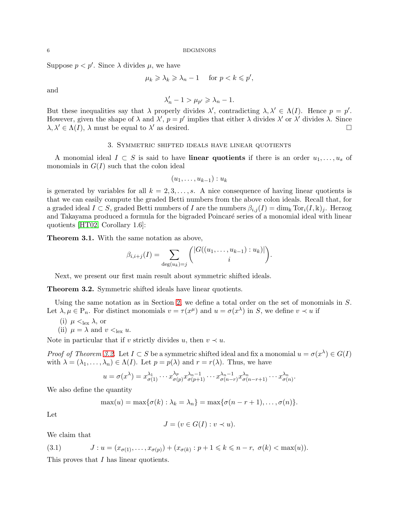Suppose  $p < p'$ . Since  $\lambda$  divides  $\mu$ , we have

$$
\mu_k \geqslant \lambda_k \geqslant \lambda_n - 1 \quad \text{ for } p < k \leqslant p',
$$

and

$$
\lambda_n'-1>\mu_{p'}\geqslant\lambda_n-1.
$$

But these inequalities say that  $\lambda$  properly divides  $\lambda'$ , contradicting  $\lambda, \lambda' \in \Lambda(I)$ . Hence  $p = p'$ . However, given the shape of  $\lambda$  and  $\lambda'$ ,  $p = p'$  implies that either  $\lambda$  divides  $\lambda'$  or  $\lambda'$  divides  $\lambda$ . Since  $\lambda, \lambda' \in \Lambda(I)$ ,  $\lambda$  must be equal to  $\lambda'$  as desired.

## 3. Symmetric shifted ideals have linear quotients

<span id="page-5-1"></span>A monomial ideal  $I \subset S$  is said to have **linear quotients** if there is an order  $u_1, \ldots, u_s$  of monomials in  $G(I)$  such that the colon ideal

$$
(u_1,\ldots,u_{k-1}):u_k
$$

is generated by variables for all  $k = 2, 3, \ldots, s$ . A nice consequence of having linear quotients is that we can easily compute the graded Betti numbers from the above colon ideals. Recall that, for a graded ideal  $I \subset S$ , graded Betti numbers of I are the numbers  $\beta_{i,j}(I) = \dim_{\mathbb{k}} \text{Tor}_i(I, \mathbb{k})_j$ . Herzog and Takayama produced a formula for the bigraded Poincaré series of a monomial ideal with linear quotients [\[HT02,](#page-23-16) Corollary 1.6]:

<span id="page-5-3"></span>Theorem 3.1. With the same notation as above,

$$
\beta_{i,i+j}(I) = \sum_{\deg(u_k)=j} {|G((u_1,\ldots,u_{k-1}):u_k)| \choose i}.
$$

Next, we present our first main result about symmetric shifted ideals.

<span id="page-5-0"></span>Theorem 3.2. Symmetric shifted ideals have linear quotients.

Using the same notation as in Section [2,](#page-3-0) we define a total order on the set of monomials in  $S$ . Let  $\lambda, \mu \in P_n$ . For distinct monomials  $v = \tau(x^{\mu})$  and  $u = \sigma(x^{\lambda})$  in S, we define  $v \prec u$  if

- (i)  $\mu <sub>lex</sub> \lambda$ , or
- (ii)  $\mu = \lambda$  and  $v <_{\text{lex}} u$ .

Note in particular that if v strictly divides u, then  $v \prec u$ .

*Proof of Theorem [3.2.](#page-5-0)* Let  $I \subset S$  be a symmetric shifted ideal and fix a monomial  $u = \sigma(x^{\lambda}) \in G(I)$ with  $\lambda = (\lambda_1, \ldots, \lambda_n) \in \Lambda(I)$ . Let  $p = p(\lambda)$  and  $r = r(\lambda)$ . Thus, we have

$$
u = \sigma(x^{\lambda}) = x_{\sigma(1)}^{\lambda_1} \cdots x_{\sigma(p)}^{\lambda_p} x_{\sigma(p+1)}^{\lambda_{n-1}} \cdots x_{\sigma(n-r)}^{\lambda_{n-1}} x_{\sigma(n-r+1)}^{\lambda_n} \cdots x_{\sigma(n)}^{\lambda_n}.
$$

We also define the quantity

$$
\max(u) = \max\{\sigma(k) : \lambda_k = \lambda_n\} = \max\{\sigma(n-r+1), \ldots, \sigma(n)\}.
$$

Let

$$
J = (v \in G(I) : v \prec u).
$$

We claim that

<span id="page-5-2"></span>(3.1) 
$$
J: u = (x_{\sigma(1)}, \dots, x_{\sigma(p)}) + (x_{\sigma(k)}: p+1 \leq k \leq n-r, \ \sigma(k) < \max(u)).
$$

This proves that I has linear quotients.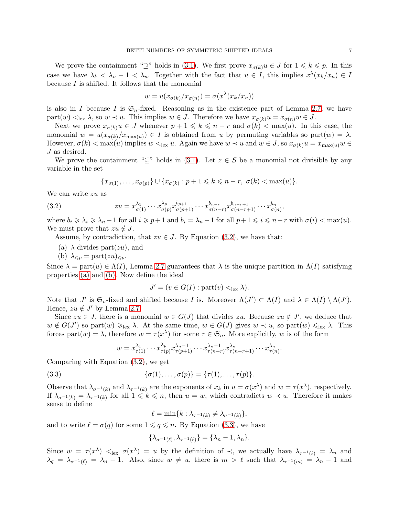We prove the containment " $\supseteq$ " holds in [\(3.1\)](#page-5-2). We first prove  $x_{\sigma(k)}u \in J$  for  $1 \leq k \leq p$ . In this case we have  $\lambda_k < \lambda_n - 1 < \lambda_n$ . Together with the fact that  $u \in I$ , this implies  $x^{\lambda}(x_k/x_n) \in I$ because  $I$  is shifted. It follows that the monomial

$$
w = u(x_{\sigma(k)}/x_{\sigma(n)}) = \sigma(x^{\lambda}(x_k/x_n))
$$

is also in I because I is  $\mathfrak{S}_n$ -fixed. Reasoning as in the existence part of Lemma [2.7,](#page-4-0) we have part $(w) <_{\text{lex}} \lambda$ , so  $w \prec u$ . This implies  $w \in J$ . Therefore we have  $x_{\sigma(k)}u = x_{\sigma(n)}w \in J$ .

Next we prove  $x_{\sigma(k)}u \in J$  whenever  $p+1 \leq k \leq n-r$  and  $\sigma(k) < \max(u)$ . In this case, the monomial  $w = u(x_{\sigma(k)}/x_{\max(u)}) \in I$  is obtained from u by permuting variables so part $(w) = \lambda$ . However,  $\sigma(k) < \max(u)$  implies  $w <_{\text{lex}} u$ . Again we have  $w \prec u$  and  $w \in J$ , so  $x_{\sigma(k)}u = x_{\max(u)}w \in$ J as desired.

We prove the containment " $\subseteq$ " holds in [\(3.1\)](#page-5-2). Let  $z \in S$  be a monomial not divisible by any variable in the set

<span id="page-6-0"></span>
$$
\{x_{\sigma(1)},\ldots,x_{\sigma(p)}\}\cup\{x_{\sigma(k)}:p+1\leq k\leq n-r,\ \sigma(k)<\max(u)\}.
$$

We can write zu as

(3.2) 
$$
zu = x_{\sigma(1)}^{\lambda_1} \cdots x_{\sigma(p)}^{\lambda_p} x_{\sigma(p+1)}^{b_{p+1}} \cdots x_{\sigma(n-r)}^{b_{n-r}} x_{\sigma(n-r+1)}^{b_{n-r+1}} \cdots x_{\sigma(n)}^{b_n},
$$

where  $b_i \geq \lambda_i \geq \lambda_n - 1$  for all  $i \geq p+1$  and  $b_i = \lambda_n - 1$  for all  $p+1 \leq i \leq n-r$  with  $\sigma(i) < \max(u)$ . We must prove that  $zu \notin J$ .

<span id="page-6-1"></span>Assume, by contradiction, that  $zu \in J$ . By Equation [\(3.2\)](#page-6-0), we have that:

- <span id="page-6-2"></span>(a)  $\lambda$  divides part(*zu*), and
- (b)  $\lambda_{\leqslant p} = \text{part}(zu)_{\leqslant p}$ .

Since  $\lambda = \text{part}(u) \in \Lambda(I)$ , Lemma [2.7](#page-4-0) guarantees that  $\lambda$  is the unique partition in  $\Lambda(I)$  satisfying properties [\(a\)](#page-6-1) and [\(b\).](#page-6-2) Now define the ideal

$$
J' = (v \in G(I) : \text{part}(v) <_{\text{lex}} \lambda).
$$

Note that  $J'$  is  $\mathfrak{S}_n$ -fixed and shifted because I is. Moreover  $\Lambda(J') \subset \Lambda(I)$  and  $\lambda \in \Lambda(I) \setminus \Lambda(J')$ . Hence,  $zu \notin J'$  by Lemma [2.7.](#page-4-0)

Since  $zu \in J$ , there is a monomial  $w \in G(J)$  that divides zu. Because  $zu \notin J'$ , we deduce that  $w \notin G(J')$  so part $(w) \geq_{\text{lex}} \lambda$ . At the same time,  $w \in G(J)$  gives  $w \prec u$ , so part $(w) \leq_{\text{lex}} \lambda$ . This forces part $(w) = \lambda$ , therefore  $w = \tau(x^{\lambda})$  for some  $\tau \in \mathfrak{S}_n$ . More explicitly, w is of the form

<span id="page-6-3"></span>
$$
w = x_{\tau(1)}^{\lambda_1} \cdots x_{\tau(p)}^{\lambda_p} x_{\tau(p+1)}^{\lambda_n-1} \cdots x_{\tau(n-r)}^{\lambda_n-1} x_{\tau(n-r+1)}^{\lambda_n} \cdots x_{\tau(n)}^{\lambda_n}.
$$

Comparing with Equation [\(3.2\)](#page-6-0), we get

(3.3) 
$$
\{\sigma(1), \ldots, \sigma(p)\} = \{\tau(1), \ldots, \tau(p)\}.
$$

Observe that  $\lambda_{\sigma^{-1}(k)}$  and  $\lambda_{\tau^{-1}(k)}$  are the exponents of  $x_k$  in  $u = \sigma(x^{\lambda})$  and  $w = \tau(x^{\lambda})$ , respectively. If  $\lambda_{\sigma^{-1}(k)} = \lambda_{\tau^{-1}(k)}$  for all  $1 \leq k \leq n$ , then  $u = w$ , which contradicts  $w \prec u$ . Therefore it makes sense to define

$$
\ell = \min\{k : \lambda_{\tau^{-1}(k)} \neq \lambda_{\sigma^{-1}(k)}\},\
$$

and to write  $\ell = \sigma(q)$  for some  $1 \leqslant q \leqslant n$ . By Equation [\(3.3\)](#page-6-3), we have

$$
\{\lambda_{\sigma^{-1}(\ell)}, \lambda_{\tau^{-1}(\ell)}\} = \{\lambda_n - 1, \lambda_n\}.
$$

Since  $w = \tau(x^{\lambda}) \leq_{\text{lex}} \sigma(x^{\lambda}) = u$  by the definition of  $\prec$ , we actually have  $\lambda_{\tau^{-1}(\ell)} = \lambda_n$  and  $\lambda_q = \lambda_{\sigma^{-1}(\ell)} = \lambda_n - 1$ . Also, since  $w \neq u$ , there is  $m > \ell$  such that  $\lambda_{\tau^{-1}(m)} = \lambda_n - 1$  and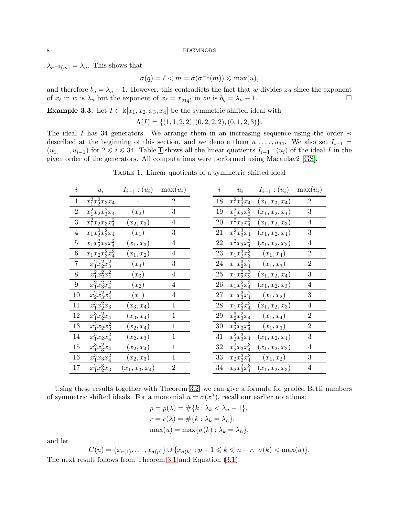$\lambda_{\sigma^{-1}(m)} = \lambda_n$ . This shows that

$$
\sigma(q) = \ell < m = \sigma(\sigma^{-1}(m)) \leq \max(u),
$$

and therefore  $b_q = \lambda_n - 1$ . However, this contradicts the fact that w divides zu since the exponent of  $x_{\ell}$  in w is  $\lambda_n$  but the exponent of  $x_{\ell} = x_{\sigma(q)}$  in  $zu$  is  $b_q = \lambda_n - 1$ .

<span id="page-7-1"></span>Example 3.3. Let  $I \subset \mathbb{K}[x_1, x_2, x_3, x_4]$  be the symmetric shifted ideal with

 $\Lambda(I) = \{(1, 1, 2, 2), (0, 2, 2, 2), (0, 1, 2, 3)\}.$ 

The ideal I has 34 generators. We arrange them in an increasing sequence using the order  $\prec$ described at the beginning of this section, and we denote them  $u_1, \ldots, u_{34}$ . We also set  $I_{i-1}$  =  $(u_1, \ldots, u_{i-1})$  for  $2 \leq i \leq 34$ . Table [1](#page-7-0) shows all the linear quotients  $I_{i-1}$  :  $(u_i)$  of the ideal I in the given order of the generators. All computations were performed using Macaulay2 [\[GS\]](#page-23-17).

| i                | $u_i$              | $I_{i-1}$ : $(u_i)$ | $max(u_i)$     |    | $\boldsymbol{u}_i$ | $I_{i-1}$ : $(u_i)$ | $max(u_i)$     |
|------------------|--------------------|---------------------|----------------|----|--------------------|---------------------|----------------|
| $\mathbf{1}$     | $x_1^2x_2^2x_3x_4$ |                     | $\overline{2}$ | 18 | $x_1^2x_2^3x_4$    | $(x_1, x_3, x_4)$   | $\overline{2}$ |
| $\overline{2}$   | $x_1^2x_2x_3^2x_4$ | $(x_2)$             | 3              | 19 | $x_1^2x_2x_3^3$    | $(x_1, x_2, x_4)$   | 3              |
| $\sqrt{3}$       | $x_1^2x_2x_3x_4^2$ | $(x_2, x_3)$        | $\overline{4}$ | 20 | $x_1^2x_2x_4^3$    | $(x_1, x_2, x_3)$   | $\sqrt{4}$     |
| $\,4\,$          | $x_1x_2^2x_3^2x_4$ | $(x_1)$             | 3              | 21 | $x_1^2x_3^3x_4$    | $(x_1, x_2, x_4)$   | 3              |
| $\bf 5$          | $x_1x_2^2x_3x_4^2$ | $(x_1, x_3)$        | $\overline{4}$ | 22 | $x_1^2x_3x_4^3$    | $(x_1, x_2, x_3)$   | $\overline{4}$ |
| $\,6\,$          | $x_1x_2x_3^2x_4^2$ | $(x_1, x_2)$        | $\overline{4}$ | 23 | $x_1x_2^3x_3^2$    | $(x_1, x_4)$        | $\overline{2}$ |
| $\overline{7}$   | $x_1^2x_2^2x_3^2$  | $(x_4)$             | 3              | 24 | $x_1x_2^3x_4^2$    | $(x_1, x_3)$        | $\overline{2}$ |
| $8\,$            | $x_1^2x_2^2x_4^2$  | $(x_3)$             | $\sqrt{4}$     | 25 | $x_1x_2^2x_3^3$    | $(x_1, x_2, x_4)$   | 3              |
| $\boldsymbol{9}$ | $x_1^2x_3^2x_4^2$  | $(x_2)$             | $\,4\,$        | 26 | $x_1x_2^2x_4^3$    | $(x_1, x_2, x_3)$   | $\overline{4}$ |
| $10\,$           | $x_2^2x_3^2x_4^2$  | $(x_1)$             | $\overline{4}$ | 27 | $x_1x_3^3x_4^2$    | $(x_1, x_2)$        | 3              |
| 11               | $x_1^3x_2^2x_3$    | $(x_3, x_4)$        | $1\,$          | 28 | $x_1x_3^2x_4^3$    | $(x_1, x_2, x_3)$   | $\overline{4}$ |
| 12               | $x_1^3x_2^2x_4$    | $(x_3, x_4)$        | 1              | 29 | $x_2^3x_3^2x_4$    | $(x_1, x_4)$        | $\overline{2}$ |
| 13               | $x_1^3x_2x_3^2$    | $(x_2, x_4)$        | $\mathbf{1}$   | 30 | $x_2^3x_3x_4^2$    | $(x_1, x_3)$        | $\overline{2}$ |
| $14\,$           | $x_1^3x_2x_4^2$    | $(x_2, x_3)$        | $\mathbf{1}$   | 31 | $x_2^2x_3^3x_4$    | $(x_1, x_2, x_4)$   | 3              |
| $15\,$           | $x_1^3x_3^2x_4$    | $(x_2, x_4)$        | $\mathbf{1}$   | 32 | $x_2^2x_3x_4^3$    | $(x_1, x_2, x_3)$   | $\overline{4}$ |
| 16               | $x_1^3x_3x_4^2$    | $(x_2, x_3)$        | $\mathbf{1}$   | 33 | $x_2x_3^3x_4^2$    | $(x_1, x_2)$        | 3              |
| $17\,$           | $x_1^2x_2^3x_3$    | $(x_1, x_3, x_4)$   | $\overline{2}$ | 34 | $x_2x_3^2x_4^3$    | $(x_1, x_2, x_3)$   | $\overline{4}$ |

<span id="page-7-0"></span>Table 1. Linear quotients of a symmetric shifted ideal

Using these results together with Theorem [3.2,](#page-5-0) we can give a formula for graded Betti numbers of symmetric shifted ideals. For a monomial  $u = \sigma(x^{\lambda})$ , recall our earlier notations:

$$
p = p(\lambda) = #\{k : \lambda_k < \lambda_n - 1\},
$$
\n
$$
r = r(\lambda) = #\{k : \lambda_k = \lambda_n\},
$$
\n
$$
\max(u) = \max\{\sigma(k) : \lambda_k = \lambda_n\},
$$

and let

$$
C(u) = \{x_{\sigma(1)}, \dots, x_{\sigma(p)}\} \cup \{x_{\sigma(k)} : p+1 \leq k \leq n-r, \ \sigma(k) < \max(u)\}.
$$
  
The next result follows from Theorem 3.1 and Equation (3.1).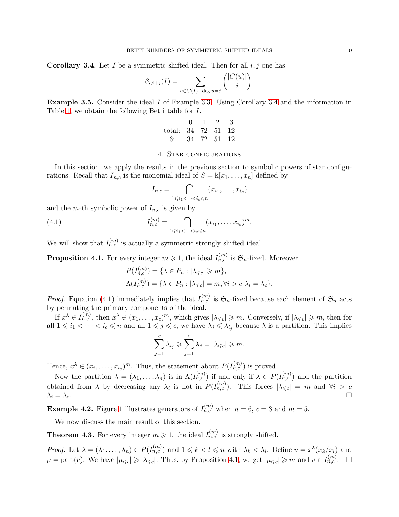<span id="page-8-0"></span>**Corollary 3.4.** Let I be a symmetric shifted ideal. Then for all  $i, j$  one has

$$
\beta_{i,i+j}(I) = \sum_{u \in G(I), \deg u = j} \binom{|C(u)|}{i}.
$$

Example 3.5. Consider the ideal I of Example [3.3.](#page-7-1) Using Corollary [3.4](#page-8-0) and the information in Table [1,](#page-7-0) we obtain the following Betti table for I.

|                    |  | $0 \t1 \t2 \t3$ |  |
|--------------------|--|-----------------|--|
| total: 34 72 51 12 |  |                 |  |
| 6: 34 72 51 12     |  |                 |  |

## 4. Star configurations

<span id="page-8-2"></span>In this section, we apply the results in the previous section to symbolic powers of star configurations. Recall that  $I_{n,c}$  is the monomial ideal of  $S = \mathbb{k}[x_1, \ldots, x_n]$  defined by

<span id="page-8-3"></span>
$$
I_{n,c} = \bigcap_{1 \leq i_1 < \dots < i_c \leq n} (x_{i_1}, \dots, x_{i_c})
$$

and the m-th symbolic power of  $I_{n,c}$  is given by

(4.1) 
$$
I_{n,c}^{(m)} = \bigcap_{1 \leq i_1 < \dots < i_c \leq n} (x_{i_1}, \dots, x_{i_c})^m.
$$

We will show that  $I_{n,c}^{(m)}$  is actually a symmetric strongly shifted ideal.

<span id="page-8-4"></span>**Proposition 4.1.** For every integer  $m \ge 1$ , the ideal  $I_{n,c}^{(m)}$  is  $\mathfrak{S}_n$ -fixed. Moreover

$$
P(I_{n,c}^{(m)}) = \{\lambda \in P_n : |\lambda_{\leq c}| \geq m\},\
$$
  

$$
\Lambda(I_{n,c}^{(m)}) = \{\lambda \in P_n : |\lambda_{\leq c}| = m, \forall i > c \ \lambda_i = \lambda_c\}.
$$

*Proof.* Equation [\(4.1\)](#page-8-3) immediately implies that  $I_{n,c}^{(m)}$  is  $\mathfrak{S}_n$ -fixed because each element of  $\mathfrak{S}_n$  acts by permuting the primary components of the ideal.

If  $x^{\lambda} \in I_{n,c}^{(m)}$ , then  $x^{\lambda} \in (x_1, \ldots, x_c)^m$ , which gives  $|\lambda_{\leqslant c}| \geqslant m$ . Conversely, if  $|\lambda_{\leqslant c}| \geqslant m$ , then for all  $1 \leq i_1 < \cdots < i_c \leq n$  and all  $1 \leq j \leq c$ , we have  $\lambda_j \leq \lambda_{i_j}$  because  $\lambda$  is a partition. This implies

$$
\sum_{j=1}^{c} \lambda_{i_j} \geqslant \sum_{j=1}^{c} \lambda_j = |\lambda_{\leqslant c}| \geqslant m.
$$

Hence,  $x^{\lambda} \in (x_{i_1}, \ldots, x_{i_c})^m$ . Thus, the statement about  $P(I_{n,c}^{(m)})$  is proved.

Now the partition  $\lambda = (\lambda_1, \ldots, \lambda_n)$  is in  $\Lambda(I_{n,c}^{(m)})$  if and only if  $\lambda \in P(I_{n,c}^{(m)})$  and the partition obtained from  $\lambda$  by decreasing any  $\lambda_i$  is not in  $P(I_{n,c}^{(m)})$ . This forces  $|\lambda_{\leq c}| = m$  and  $\forall i > c$  $\lambda_i = \lambda_c.$ 

<span id="page-8-5"></span>**Example 4.2.** Figure [1](#page-9-1) illustrates generators of  $I_{n,c}^{(m)}$  when  $n = 6, c = 3$  and  $m = 5$ .

We now discuss the main result of this section.

<span id="page-8-1"></span>**Theorem 4.3.** For every integer  $m \ge 1$ , the ideal  $I_{n,c}^{(m)}$  is strongly shifted.

*Proof.* Let  $\lambda = (\lambda_1, \ldots, \lambda_n) \in P(I_{n,c}^{(m)})$  and  $1 \leq k < l \leq n$  with  $\lambda_k < \lambda_l$ . Define  $v = x^{\lambda}(x_k/x_l)$  and  $\mu = \text{part}(v)$ . We have  $|\mu_{\leq c}| \geq |\lambda_{\leq c}|$ . Thus, by Proposition [4.1,](#page-8-4) we get  $|\mu_{\leq c}| \geq m$  and  $v \in I_{n,c}^{(m)}$ .  $\Box$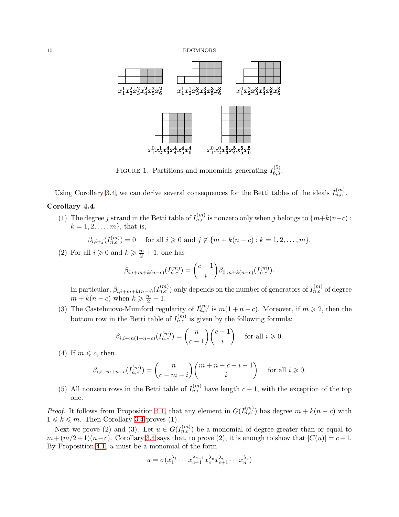

<span id="page-9-1"></span>FIGURE 1. Partitions and monomials generating  $I_{6,3}^{(5)}$  $6,3$ .

Using Corollary [3.4,](#page-8-0) we can derive several consequences for the Betti tables of the ideals  $I_{n,c}^{(m)}$ .

# <span id="page-9-0"></span>Corollary 4.4.

(1) The degree j strand in the Betti table of  $I_{n,c}^{(m)}$  is nonzero only when j belongs to  $\{m+k(n-c):$  $k = 1, 2, ..., m$ , that is,

$$
\beta_{i,i+j}(I_{n,c}^{(m)}) = 0
$$
 for all  $i \ge 0$  and  $j \notin \{m + k(n-c) : k = 1, 2, ..., m\}.$ 

(2) For all  $i \geqslant 0$  and  $k \geqslant \frac{m}{2} + 1$ , one has

$$
\beta_{i,i+m+k(n-c)}(I_{n,c}^{(m)}) = {c-1 \choose i} \beta_{0,m+k(n-c)}(I_{n,c}^{(m)}).
$$

In particular,  $\beta_{i,i+m+k(n-c)}(I_{n,c}^{(m)})$  only depends on the number of generators of  $I_{n,c}^{(m)}$  of degree  $m + k(n - c)$  when  $k \geqslant \frac{m'}{2} + 1$ .

(3) The Castelnuovo-Mumford regularity of  $I_{n,c}^{(m)}$  is  $m(1+n-c)$ . Moreover, if  $m \geq 2$ , then the bottom row in the Betti table of  $I_{n,c}^{(m)}$  is given by the following formula:

$$
\beta_{i,i+m(1+n-c)}(I_{n,c}^{(m)}) = {n \choose c-1} {c-1 \choose i} \quad \text{for all } i \geq 0.
$$

(4) If  $m \leq c$ , then

$$
\beta_{i,i+m+n-c}(I_{n,c}^{(m)}) = {n \choose c-m-i} {m+n-c+i-1 \choose i} \quad \text{for all } i \geq 0.
$$

(5) All nonzero rows in the Betti table of  $I_{n,c}^{(m)}$  have length  $c-1$ , with the exception of the top one.

*Proof.* It follows from Proposition [4.1,](#page-8-4) that any element in  $G(I_{n,c}^{(m)})$  has degree  $m + k(n - c)$  with  $1 \leq k \leq m$ . Then Corollary [3.4](#page-8-0) proves (1).

Next we prove (2) and (3). Let  $u \in G(I_{n,c}^{(m)})$  be a monomial of degree greater than or equal to  $m + (m/2+1)(n-c)$ . Corollary [3.4](#page-8-0) says that, to prove (2), it is enough to show that  $|C(u)| = c-1$ . By Proposition [4.1,](#page-8-4)  $u$  must be a monomial of the form

$$
u = \sigma(x_1^{\lambda_1} \cdots x_{c-1}^{\lambda_{c-1}} x_c^{\lambda_c} x_{c+1}^{\lambda_c} \cdots x_n^{\lambda_c})
$$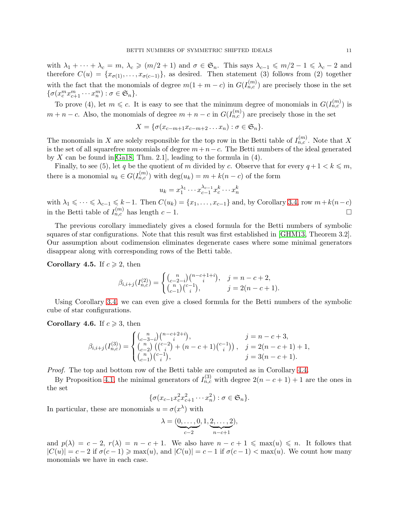with  $\lambda_1 + \cdots + \lambda_c = m$ ,  $\lambda_c \geqslant (m/2 + 1)$  and  $\sigma \in \mathfrak{S}_n$ . This says  $\lambda_{c-1} \leqslant m/2 - 1 \leqslant \lambda_c - 2$  and therefore  $C(u) = \{x_{\sigma(1)}, \ldots, x_{\sigma(c-1)}\}$ , as desired. Then statement (3) follows from (2) together with the fact that the monomials of degree  $m(1 + m - c)$  in  $G(I_{n,c}^{(m)})$  are precisely those in the set  $\{\sigma(x_c^mx_{c+1}^m \cdots x_n^m) : \sigma \in \mathfrak{S}_n\}.$ 

To prove (4), let  $m \leq c$ . It is easy to see that the minimum degree of monomials in  $G(I_{n,c}^{(m)})$  is  $m + n - c$ . Also, the monomials of degree  $m + n - c$  in  $G(I_{n,c}^{(m)})$  are precisely those in the set

$$
X = \{\sigma(x_{c-m+1}x_{c-m+2}\dots x_n) : \sigma \in \mathfrak{S}_n\}.
$$

The monomials in X are solely responsible for the top row in the Betti table of  $I_{n,c}^{(m)}$ . Note that X is the set of all squarefree monomials of degree  $m+n-c$ . The Betti numbers of the ideal generated by X can be found in  $[Ga18, Thm. 2.1]$  $[Ga18, Thm. 2.1]$ , leading to the formula in (4).

Finally, to see (5), let q be the quotient of m divided by c. Observe that for every  $q + 1 < k \leq m$ , there is a monomial  $u_k \in G(I_{n,c}^{(m)})$  with  $\deg(u_k) = m + k(n-c)$  of the form

$$
u_k = x_1^{\lambda_1} \cdots x_{c-1}^{\lambda_{c-1}} x_c^k \cdots x_n^k
$$

with  $\lambda_1 \leq \cdots \leq \lambda_{c-1} \leq k-1$ . Then  $C(u_k) = \{x_1, \ldots, x_{c-1}\}\$ and, by Corollary [3.4,](#page-8-0) row  $m+k(n-c)$ in the Betti table of  $I_{n,c}^{(m)}$  has length  $c-1$ .

The previous corollary immediately gives a closed formula for the Betti numbers of symbolic squares of star configurations. Note that this result was first established in [\[GHM13,](#page-23-12) Theorem 3.2]. Our assumption about codimension eliminates degenerate cases where some minimal generators disappear along with corresponding rows of the Betti table.

<span id="page-10-1"></span>Corollary 4.5. If  $c \geq 2$ , then

$$
\beta_{i,i+j}(I_{n,c}^{(2)}) = \begin{cases}\n\binom{n}{c-2-i}\binom{n-c+1+i}{i}, & j = n-c+2, \\
\binom{n}{c-1}\binom{c-1}{i}, & j = 2(n-c+1).\n\end{cases}
$$

Using Corollary [3.4,](#page-8-0) we can even give a closed formula for the Betti numbers of the symbolic cube of star configurations.

<span id="page-10-0"></span>**Corollary 4.6.** If  $c \geq 3$ , then

$$
\beta_{i,i+j}(I_{n,c}^{(3)}) = \begin{cases}\n\binom{n}{c-3-i}\binom{n-c+2+i}{i}, & j = n-c+3, \\
\binom{n}{c-2}\binom{c-2}{i} + (n-c+1)\binom{c-1}{i}), & j = 2(n-c+1)+1, \\
\binom{n}{c-1}\binom{c-1}{i}, & j = 3(n-c+1).\n\end{cases}
$$

Proof. The top and bottom row of the Betti table are computed as in Corollary [4.4.](#page-9-0)

By Proposition [4.1,](#page-8-4) the minimal generators of  $I_{n,c}^{(3)}$  with degree  $2(n-c+1)+1$  are the ones in the set

 $\{\sigma(x_{c-1}x_c^2x_{c+1}^2\cdots x_n^2):\sigma\in\mathfrak{S}_n\}.$ 

In particular, these are monomials  $u = \sigma(x^{\lambda})$  with

$$
\lambda = (\underbrace{0, \ldots, 0}_{c-2}, 1, \underbrace{2, \ldots, 2}_{n-c+1}),
$$

and  $p(\lambda) = c - 2$ ,  $r(\lambda) = n - c + 1$ . We also have  $n - c + 1 \leq \max(u) \leq n$ . It follows that  $|C(u)| = c - 2$  if  $\sigma(c-1) \ge \max(u)$ , and  $|C(u)| = c - 1$  if  $\sigma(c-1) < \max(u)$ . We count how many monomials we have in each case.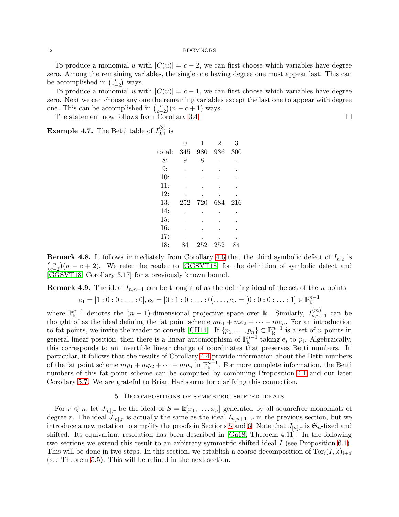To produce a monomial u with  $|C(u)| = c - 2$ , we can first choose which variables have degree zero. Among the remaining variables, the single one having degree one must appear last. This can be accomplished in  $\binom{n}{n}$  $\binom{n}{c-2}$  ways.

To produce a monomial u with  $|C(u)| = c - 1$ , we can first choose which variables have degree zero. Next we can choose any one the remaining variables except the last one to appear with degree one. This can be accomplished in  $\binom{n}{k}$  $\binom{n}{c-2}(n-c+1)$  ways.

The statement now follows from Corollary [3.4.](#page-8-0)

**Example 4.7.** The Betti table of  $I_{9,4}^{(3)}$  $_{9,4}^{(5)}$  is

|                 | O   | 1   | 2   | 3   |
|-----------------|-----|-----|-----|-----|
| $_{\rm total:}$ | 345 | 980 | 936 | 300 |
| 8:              | 9   | 8   |     |     |
| 9:              |     |     |     |     |
| 10:             |     |     |     |     |
| 11:             |     |     |     |     |
| 12:             |     |     |     |     |
| 13:             | 252 | 720 | 684 | 216 |
| 14:             |     |     |     |     |
| 15:             |     |     |     |     |
| 16:             |     |     |     |     |
| 17:             |     |     |     |     |
| 18:             |     | 252 | 252 |     |

**Remark 4.8.** It follows immediately from Corollary [4.6](#page-10-0) that the third symbolic defect of  $I_{n,c}$  is  $\binom{n}{k}$  $\binom{n}{c-2}(n-c+2)$ . We refer the reader to [\[GGSVT18\]](#page-23-19) for the definition of symbolic defect and [\[GGSVT18,](#page-23-19) Corollary 3.17] for a previously known bound.

<span id="page-11-0"></span>**Remark 4.9.** The ideal  $I_{n,n-1}$  can be thought of as the defining ideal of the set of the n points

$$
e_1 = [1:0:0:\ldots:0], e_2 = [0:1:0:\ldots:0], \ldots, e_n = [0:0:0:\ldots:1] \in \mathbb{P}_{\mathbb{k}}^{n-1}
$$

where  $\mathbb{P}^{n-1}_k$  denotes the  $(n-1)$ -dimensional projective space over k. Similarly,  $I_{n,n}^{(m)}$  $\binom{m}{n,n-1}$  can be thought of as the ideal defining the fat point scheme  $me_1 + me_2 + \cdots + me_n$ . For an introduction to fat points, we invite the reader to consult [\[CH14\]](#page-22-13). If  $\{p_1, \ldots, p_n\} \subset \mathbb{P}_{\mathbb{k}}^{n-1}$  is a set of n points in general linear position, then there is a linear automorphism of  $\mathbb{P}_{k}^{n-1}$  taking  $e_i$  to  $p_i$ . Algebraically, this corresponds to an invertible linear change of coordinates that preserves Betti numbers. In particular, it follows that the results of Corollary [4.4](#page-9-0) provide information about the Betti numbers of the fat point scheme  $mp_1 + mp_2 + \cdots + mp_n$  in  $\mathbb{P}_{\mathbb{k}}^{n-1}$ . For more complete information, the Betti numbers of this fat point scheme can be computed by combining Proposition [4.1](#page-8-4) and our later Corollary [5.7.](#page-16-0) We are grateful to Brian Harbourne for clarifying this connection.

#### 5. Decompositions of symmetric shifted ideals

<span id="page-11-1"></span>For  $r \leq n$ , let  $J_{[n],r}$  be the ideal of  $S = \mathbb{k}[x_1,\ldots,x_n]$  generated by all squarefree monomials of degree r. The ideal  $J_{[n],r}$  is actually the same as the ideal  $I_{n,n+1-r}$  in the previous section, but we introduce a new notation to simplify the proofs in Sections [5](#page-11-1) and [6.](#page-17-0) Note that  $J_{[n],r}$  is  $\mathfrak{S}_n$ -fixed and shifted. Its equivariant resolution has been described in [\[Ga18,](#page-23-18) Theorem 4.11]. In the following two sections we extend this result to an arbitrary symmetric shifted ideal  $I$  (see Proposition [6.1\)](#page-18-1). This will be done in two steps. In this section, we establish a coarse decomposition of  $\text{Tor}_i(I, \mathbb{k})_{i+d}$ (see Theorem [5.5\)](#page-14-0). This will be refined in the next section.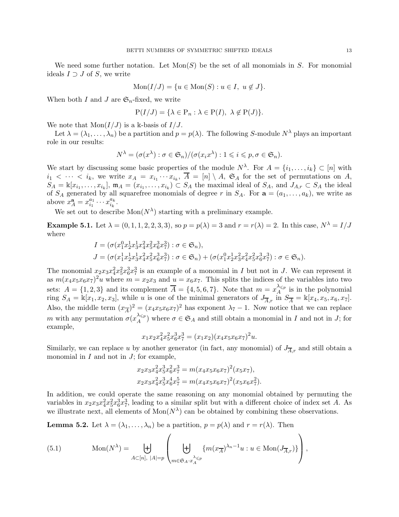We need some further notation. Let  $Mon(S)$  be the set of all monomials in S. For monomial ideals  $I \supset J$  of S, we write

$$
Mon(I/J) = \{u \in Mon(S) : u \in I, u \notin J\}.
$$

When both I and J are  $\mathfrak{S}_n$ -fixed, we write

$$
P(I/J) = {\lambda \in P_n : \lambda \in P(I), \lambda \notin P(J)}.
$$

We note that  $\text{Mon}(I/J)$  is a k-basis of  $I/J$ .

Let  $\lambda = (\lambda_1, \ldots, \lambda_n)$  be a partition and  $p = p(\lambda)$ . The following S-module  $N^{\lambda}$  plays an important role in our results:

$$
N^{\lambda} = (\sigma(x^{\lambda}) : \sigma \in \mathfrak{S}_n) / (\sigma(x_i x^{\lambda}) : 1 \leq i \leq p, \sigma \in \mathfrak{S}_n).
$$

We start by discussing some basic properties of the module  $N^{\lambda}$ . For  $A = \{i_1, \ldots, i_k\} \subset [n]$  with  $i_1 < \cdots < i_k$ , we write  $x_A = x_{i_1} \cdots x_{i_k}$ ,  $\overline{A} = [n] \setminus A$ ,  $\mathfrak{S}_A$  for the set of permutations on A,  $S_A = \mathbb{k}[x_{i_1}, \ldots, x_{i_k}], \mathfrak{m}_A = (x_{i_1}, \ldots, x_{i_k}) \subset S_A$  the maximal ideal of  $S_A$ , and  $J_{A,r} \subset S_A$  the ideal of  $S_A$  generated by all squarefree monomials of degree r in  $S_A$ . For  $\mathbf{a} = (a_1, \ldots, a_k)$ , we write as above  $x_A^a = x_{i_1}^{a_1}$  $\frac{a_1}{i_1} \cdots x_{i_k}^{a_k}$  $\frac{a_k}{i_k}$  .

We set out to describe  $\text{Mon}(N^{\lambda})$  starting with a preliminary example.

**Example 5.1.** Let  $\lambda = (0, 1, 1, 2, 2, 3, 3)$ , so  $p = p(\lambda) = 3$  and  $r = r(\lambda) = 2$ . In this case,  $N^{\lambda} = I/J$ where

$$
I = (\sigma(x_1^0 x_2^1 x_3^1 x_4^2 x_5^2 x_6^3 x_7^3) : \sigma \in \mathfrak{S}_n),
$$
  
\n
$$
J = (\sigma(x_1^1 x_2^1 x_3^1 x_4^2 x_5^2 x_6^3 x_7^3) : \sigma \in \mathfrak{S}_n) + (\sigma(x_1^0 x_2^1 x_3^2 x_4^2 x_5^2 x_6^3 x_7^3) : \sigma \in \mathfrak{S}_n).
$$

The monomial  $x_2x_3x_4^2x_5^2x_6^3x_7^3$  is an example of a monomial in I but not in J. We can represent it as  $m(x_4x_5x_6x_7)^2u$  where  $m = x_2x_3$  and  $u = x_6x_7$ . This splits the indices of the variables into two sets:  $A = \{1, 2, 3\}$  and its complement  $\overline{A} = \{4, 5, 6, 7\}$ . Note that  $m = x_A^{\lambda_{\leq p}}$  $\Lambda_A^{\leq p}$  is in the polynomial ring  $S_A = \mathbbk[x_1, x_2, x_3]$ , while u is one of the minimal generators of  $J_{\overline{A},r}$  in  $S_{\overline{A}} = \mathbbk[x_4, x_5, x_6, x_7]$ . Also, the middle term  $(x_{\overline{A}})^2 = (x_4x_5x_6x_7)^2$  has exponent  $\lambda_7 - 1$ . Now notice that we can replace m with any permutation  $\sigma(x_A^{\lambda_{\leq p}})$  $\lambda_{\leq p}^{A_{\leq p}}$  where  $\sigma \in \mathfrak{S}_A$  and still obtain a monomial in I and not in J; for example,

$$
x_1 x_2 x_4^2 x_5^2 x_6^3 x_7^3 = (x_1 x_2)(x_4 x_5 x_6 x_7)^2 u.
$$

Similarly, we can replace u by another generator (in fact, any monomial) of  $J_{\overline{A},r}$  and still obtain a monomial in  $I$  and not in  $J$ ; for example,

$$
x_2 x_3 x_4^2 x_5^3 x_6^2 x_7^3 = m(x_4 x_5 x_6 x_7)^2 (x_5 x_7),
$$
  

$$
x_2 x_3 x_4^2 x_5^3 x_6^4 x_7^5 = m(x_4 x_5 x_6 x_7)^2 (x_5 x_6 x_7^2).
$$

In addition, we could operate the same reasoning on any monomial obtained by permuting the variables in  $x_2x_3x_4^2x_5^2x_6^3x_7^3$ , leading to a similar split but with a different choice of index set A. As we illustrate next, all elements of  $Mon(N^{\lambda})$  can be obtained by combining these observations.

<span id="page-12-1"></span>**Lemma 5.2.** Let  $\lambda = (\lambda_1, \ldots, \lambda_n)$  be a partition,  $p = p(\lambda)$  and  $r = r(\lambda)$ . Then

<span id="page-12-0"></span>(5.1) 
$$
\text{Mon}(N^{\lambda}) = \biguplus_{A \subset [n], |A| = p} \left( \biguplus_{m \in \mathfrak{S}_A \cdot x_A^{\lambda_{\leq p}}} \{m(x_{\overline{A}})^{\lambda_n - 1} u : u \in \text{Mon}(J_{\overline{A},r})\} \right),
$$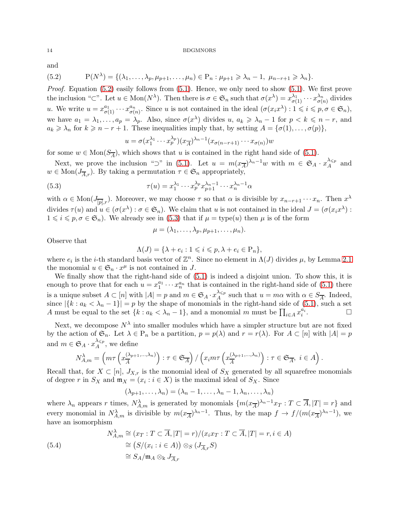and

<span id="page-13-0"></span>(5.2) 
$$
P(N^{\lambda}) = \{(\lambda_1,\ldots,\lambda_p,\mu_{p+1},\ldots,\mu_n) \in P_n : \mu_{p+1} \geq \lambda_n - 1, \ \mu_{n-r+1} \geq \lambda_n\}.
$$

*Proof.* Equation  $(5.2)$  easily follows from  $(5.1)$ . Hence, we only need to show  $(5.1)$ . We first prove the inclusion "⊂". Let  $u \in \text{Mon}(N^{\lambda})$ . Then there is  $\sigma \in \mathfrak{S}_n$  such that  $\sigma(x^{\lambda}) = x_{\sigma(1)}^{\lambda_1} \cdots x_{\sigma(n)}^{\lambda_n}$  $\sum_{\sigma(n)}^{\lambda_n}$  divides *u*. We write  $u = x_{\sigma(1)}^{a_1} \cdots x_{\sigma(n)}^{a_n}$  $\sigma_{\sigma(n)}^{a_n}$ . Since u is not contained in the ideal  $(\sigma(x_ix^{\lambda}) : 1 \leqslant i \leqslant p, \sigma \in \mathfrak{S}_n)$ , we have  $a_1 = \lambda_1, \ldots, a_p = \lambda_p$ . Also, since  $\sigma(x^{\lambda})$  divides  $u, a_k \geq \lambda_n - 1$  for  $p < k \leq n - r$ , and  $a_k \geq \lambda_n$  for  $k \geq n-r+1$ . These inequalities imply that, by setting  $A = {\sigma(1), \ldots, \sigma(p)}$ ,

$$
u = \sigma(x_1^{\lambda_1} \cdots x_p^{\lambda_p})(x_{\overline{A}})^{\lambda_n-1}(x_{\sigma(n-r+1)} \cdots x_{\sigma(n)})w
$$

for some  $w \in \text{Mon}(S_{\overline{A}})$ , which shows that u is contained in the right hand side of [\(5.1\)](#page-12-0).

Next, we prove the inclusion "<sup>2</sup>" in [\(5.1\)](#page-12-0). Let  $u = m(x_{\overline{A}})^{\lambda_n-1}w$  with  $m \in \mathfrak{S}_A \cdot x_A^{\lambda \leq p}$  $\mathcal{A}^{\leqslant p}$  and  $w \in \text{Mon}(J_{\overline{A},r})$ . By taking a permutation  $\tau \in \mathfrak{S}_n$  appropriately,

(5.3) 
$$
\tau(u) = x_1^{\lambda_1} \cdots x_p^{\lambda_p} x_{p+1}^{\lambda_{n-1}} \cdots x_n^{\lambda_n-1} \alpha
$$

with  $\alpha \in \text{Mon}(J_{\overline{[p]},r})$ . Moreover, we may choose  $\tau$  so that  $\alpha$  is divisible by  $x_{n-r+1} \cdots x_n$ . Then  $x^{\lambda}$ divides  $\tau(u)$  and  $u \in (\sigma(x^{\lambda}) : \sigma \in \mathfrak{S}_n)$ . We claim that u is not contained in the ideal  $J = (\sigma(x_i x^{\lambda}) :$  $1 \leq i \leq p, \sigma \in \mathfrak{S}_n$ . We already see in [\(5.3\)](#page-13-1) that if  $\mu = \text{type}(u)$  then  $\mu$  is of the form

<span id="page-13-1"></span>
$$
\mu=(\lambda_1,\ldots,\lambda_p,\mu_{p+1},\ldots,\mu_n).
$$

Observe that

$$
\Lambda(J) = \{ \lambda + e_i : 1 \leq i \leq p, \lambda + e_i \in \mathcal{P}_n \},
$$

where  $e_i$  is the *i*-th standard basis vector of  $\mathbb{Z}^n$ . Since no element in  $\Lambda(J)$  divides  $\mu$ , by Lemma [2.1](#page-3-1) the monomial  $u \in \mathfrak{S}_n \cdot x^{\mu}$  is not contained in J.

We finally show that the right-hand side of [\(5.1\)](#page-12-0) is indeed a disjoint union. To show this, it is enough to prove that for each  $u = x_1^{a_1} \cdots x_n^{a_n}$  that is contained in the right-hand side of [\(5.1\)](#page-12-0) there is a unique subset  $A \subset [n]$  with  $|A| = p$  and  $m \in \mathfrak{S}_A \cdot x_A^{\lambda_{\leq p}}$  $A^{\leq p}$  such that  $u = m\alpha$  with  $\alpha \in S_{\overline{A}}$ . Indeed, since  $|\{k : a_k < \lambda_n - 1\}| = p$  by the shape of monomials in the right-hand side of [\(5.1\)](#page-12-0), such a set A must be equal to the set  $\{k : a_k < \lambda_n - 1\}$ , and a monomial m must be  $\prod_{i \in A} x_i^{a_i}$ . — Первый профессиональный стандарт и профессиональный стандарт и профессиональный стандарт и профессиональны<br>В сервисов с профессиональный стандарт и профессиональный стандарт и профессиональный стандарт и профессиональ

Next, we decompose  $N^{\lambda}$  into smaller modules which have a simpler structure but are not fixed by the action of  $\mathfrak{S}_n$ . Let  $\lambda \in \mathcal{P}_n$  be a partition,  $p = p(\lambda)$  and  $r = r(\lambda)$ . For  $A \subset [n]$  with  $|A| = p$ and  $m \in \mathfrak{S}_A \cdot x_A^{\lambda_{\leq p}}$  $\Lambda^{k,p}_A$ , we define

$$
N_{A,m}^{\lambda} = \left( m\tau \left( x_{\overline{A}}^{(\lambda_{p+1},...,\lambda_n)} \right) : \tau \in \mathfrak{S}_{\overline{A}} \right) / \left( x_i m\tau \left( x_{\overline{A}}^{(\lambda_{p+1},...,\lambda_n)} \right) : \tau \in \mathfrak{S}_{\overline{A}}, i \in A \right).
$$

Recall that, for  $X \subset [n]$ ,  $J_{X,r}$  is the monomial ideal of  $S_X$  generated by all squarefree monomials of degree r in  $S_X$  and  $\mathfrak{m}_X = (x_i : i \in X)$  is the maximal ideal of  $S_X$ . Since

 $(\lambda_{p+1}, \ldots, \lambda_n) = (\lambda_n - 1, \ldots, \lambda_n - 1, \lambda_n, \ldots, \lambda_n)$ 

where  $\lambda_n$  appears r times,  $N_{A,m}^{\lambda}$  is generated by monomials  $\{m(x_{\overline{A}})^{\lambda_n-1}x_T : T \subset \overline{A}, |T|=r\}$  and every monomial in  $N_{A,m}^{\lambda}$  is divisible by  $m(x_{\overline{A}})^{\lambda_n-1}$ . Thus, by the map  $f \to f/(m(x_{\overline{A}})^{\lambda_n-1})$ , we have an isomorphism

<span id="page-13-2"></span>(5.4)  
\n
$$
N_{A,m}^{\lambda} \cong (x_T : T \subset \overline{A}, |T| = r)/(x_i x_T : T \subset \overline{A}, |T| = r, i \in A)
$$
\n
$$
\cong (S/(x_i : i \in A)) \otimes_S (J_{\overline{A},r} S)
$$
\n
$$
\cong S_A/\mathfrak{m}_A \otimes_{\mathbb{k}} J_{\overline{A},r}
$$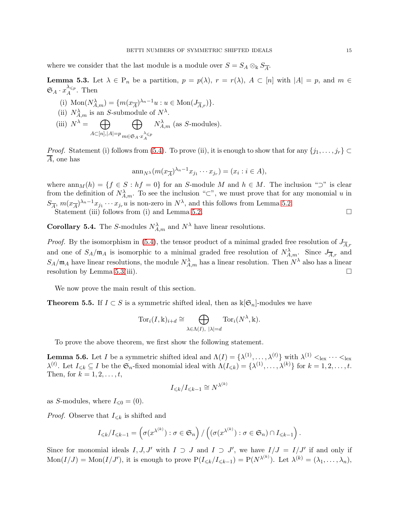where we consider that the last module is a module over  $S = S_A \otimes_{\mathbb{k}} S_{\overline{A}}$ .

<span id="page-14-1"></span>**Lemma 5.3.** Let  $\lambda \in P_n$  be a partition,  $p = p(\lambda)$ ,  $r = r(\lambda)$ ,  $A \subset [n]$  with  $|A| = p$ , and  $m \in$  $\mathfrak{S}_A\cdot x_A^{\lambda_{\leqslant p}}$  $\bigwedge^{\Lambda \leqslant p}_A$ . Then

(i)  $\text{Mon}(N_{A,m}^{\lambda}) = \{m(x_{\overline{A}})^{\lambda_n-1}u : u \in \text{Mon}(J_{\overline{A},r})\}.$ (ii)  $N^{\lambda}_{A,m}$  is an S-submodule of  $N^{\lambda}$ . (iii)  $N^{\lambda} = \bigoplus$  $A\subset[n], |A|=p$  $\bigoplus$  $m \in \mathfrak{S}_A \cdot x_A^{\lambda_{\leqslant p}}$  $N_{A,m}^{\lambda}$  (as S-modules).

*Proof.* Statement (i) follows from [\(5.4\)](#page-13-2). To prove (ii), it is enough to show that for any  $\{j_1, \ldots, j_r\}$  $\overline{A}$ , one has

$$
\operatorname{ann}_{N^{\lambda}}(m(x_{\overline{A}})^{\lambda_n-1}x_{j_1}\cdots x_{j_r})=(x_i:i\in A),
$$

where  $\text{ann}_M(h) = \{f \in S : hf = 0\}$  for an S-module M and  $h \in M$ . The inclusion " $\supset$ " is clear from the definition of  $N_{A,m}^{\lambda}$ . To see the inclusion "⊂", we must prove that for any monomial u in  $S_{\overline{A}}, m(x_{\overline{A}})^{\lambda_n-1}x_{j_1}\cdots x_{j_r}u$  is non-zero in  $N^{\lambda}$ , and this follows from Lemma [5.2.](#page-12-1) Statement (iii) follows from (i) and Lemma [5.2.](#page-12-1)  $\Box$ 

<span id="page-14-3"></span>**Corollary 5.4.** The S-modules  $N_{A,m}^{\lambda}$  and  $N^{\lambda}$  have linear resolutions.

*Proof.* By the isomorphism in [\(5.4\)](#page-13-2), the tensor product of a minimal graded free resolution of  $J_{\overline{A},r}$ and one of  $S_A/\mathfrak{m}_A$  is isomorphic to a minimal graded free resolution of  $N_{A,m}^{\lambda}$ . Since  $J_{\overline{A},r}$  and  $S_A/\mathfrak{m}_A$  have linear resolutions, the module  $N_{A,m}^{\lambda}$  has a linear resolution. Then  $N^{\lambda}$  also has a linear resolution by Lemma [5.3\(](#page-14-1)iii).  $\Box$ 

We now prove the main result of this section.

<span id="page-14-0"></span>**Theorem 5.5.** If  $I \subset S$  is a symmetric shifted ideal, then as  $\mathbb{K}[\mathfrak{S}_n]$ -modules we have

$$
Tor_i(I, \mathbb{k})_{i+d} \cong \bigoplus_{\lambda \in \Lambda(I), \ |\lambda| = d} Tor_i(N^{\lambda}, \mathbb{k}).
$$

To prove the above theorem, we first show the following statement.

<span id="page-14-2"></span>**Lemma 5.6.** Let I be a symmetric shifted ideal and  $\Lambda(I) = {\lambda^{(1)}, \ldots, \lambda^{(t)}}$  with  $\lambda^{(1)} <_{\text{lex}} \cdots <_{\text{lex}}$  $\lambda^{(t)}$ . Let  $I_{\leq k} \subseteq I$  be the  $\mathfrak{S}_n$ -fixed monomial ideal with  $\Lambda(I_{\leq k}) = {\lambda^{(1)}, \ldots, \lambda^{(k)}}$  for  $k = 1, 2, \ldots, t$ . Then, for  $k = 1, 2, ..., t$ ,

$$
I_{\leqslant k}/I_{\leqslant k-1}\cong N^{\lambda^{(k)}}
$$

as S-modules, where  $I_{\leq 0} = (0)$ .

*Proof.* Observe that  $I_{\leq k}$  is shifted and

$$
I_{\leqslant k}/I_{\leqslant k-1}=\left(\sigma(x^{\lambda^{(k)}}):\sigma\in\mathfrak{S}_n\right)/\left(\left(\sigma(x^{\lambda^{(k)}}):\sigma\in\mathfrak{S}_n\right)\cap I_{\leqslant k-1}\right).
$$

Since for monomial ideals  $I, J, J'$  with  $I \supset J$  and  $I \supset J'$ , we have  $I/J = I/J'$  if and only if  $\text{Mon}(I/J) = \text{Mon}(I/J')$ , it is enough to prove  $P(I_{\leq k}/I_{\leq k-1}) = P(N^{\lambda^{(k)}})$ . Let  $\lambda^{(k)} = (\lambda_1, \ldots, \lambda_n)$ ,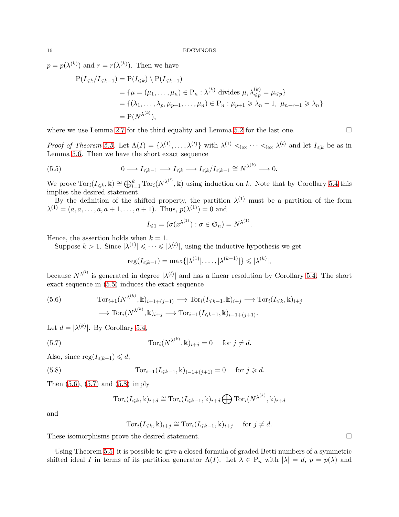$p = p(\lambda^{(k)})$  and  $r = r(\lambda^{(k)})$ . Then we have

$$
P(I_{\leq k}/I_{\leq k-1}) = P(I_{\leq k}) \setminus P(I_{\leq k-1})
$$
  
= { $\mu = (\mu_1, ..., \mu_n) \in P_n : \lambda^{(k)}$  divides  $\mu, \lambda_{\leq p}^{(k)} = \mu_{\leq p}$ }  
= { $(\lambda_1, ..., \lambda_p, \mu_{p+1}, ..., \mu_n) \in P_n : \mu_{p+1} \geq \lambda_n - 1, \mu_{n-r+1} \geq \lambda_n$ }  
=  $P(N^{\lambda^{(k)}}),$ 

where we use Lemma [2.7](#page-4-0) for the third equality and Lemma [5.2](#page-12-1) for the last one.  $\Box$ 

Proof of Theorem [5.5.](#page-14-0) Let  $\Lambda(I) = {\lambda^{(1)}, \ldots, \lambda^{(t)}}$  with  $\lambda^{(1)} <_{\text{lex}} \cdots <_{\text{lex}} \lambda^{(t)}$  and let  $I_{\leq k}$  be as in Lemma [5.6.](#page-14-2) Then we have the short exact sequence

(5.5) 
$$
0 \longrightarrow I_{\leq k-1} \longrightarrow I_{\leq k} \longrightarrow I_{\leq k}/I_{\leq k-1} \cong N^{\lambda^{(k)}} \longrightarrow 0.
$$

We prove  $\text{Tor}_i(I_{\leq k}, \mathbb{k}) \cong \bigoplus_{l=1}^k \text{Tor}_i(N^{\lambda^{(l)}}, \mathbb{k})$  using induction on k. Note that by Corollary [5.4](#page-14-3) this implies the desired statement.

By the definition of the shifted property, the partition  $\lambda^{(1)}$  must be a partition of the form  $\lambda^{(1)} = (a, a, \dots, a, a + 1, \dots, a + 1)$ . Thus,  $p(\lambda^{(1)}) = 0$  and

<span id="page-15-0"></span>
$$
I_{\leq 1} = (\sigma(x^{\lambda^{(1)}}) : \sigma \in \mathfrak{S}_n) = N^{\lambda^{(1)}}.
$$

Hence, the assertion holds when  $k = 1$ .

Suppose  $k > 1$ . Since  $|\lambda^{(1)}| \leq \cdots \leq |\lambda^{(t)}|$ , using the inductive hypothesis we get

$$
reg(I_{\leq k-1}) = \max\{|\lambda^{(1)}|, \ldots, |\lambda^{(k-1)}|\} \leq |\lambda^{(k)}|,
$$

because  $N^{\lambda^{(l)}}$  is generated in degree  $|\lambda^{(l)}|$  and has a linear resolution by Corollary [5.4.](#page-14-3) The short exact sequence in [\(5.5\)](#page-15-0) induces the exact sequence

<span id="page-15-1"></span>(5.6) 
$$
\operatorname{Tor}_{i+1}(N^{\lambda^{(k)}}, \mathbb{k})_{i+1+(j-1)} \longrightarrow \operatorname{Tor}_{i}(I_{\leq k-1}, \mathbb{k})_{i+j} \longrightarrow \operatorname{Tor}_{i}(I_{\leq k}, \mathbb{k})_{i+j}
$$

$$
\longrightarrow \operatorname{Tor}_{i}(N^{\lambda^{(k)}}, \mathbb{k})_{i+j} \longrightarrow \operatorname{Tor}_{i-1}(I_{\leq k-1}, \mathbb{k})_{i-1+(j+1)}.
$$

Let  $d = |\lambda^{(k)}|$ . By Corollary [5.4,](#page-14-3)

(5.7) 
$$
\operatorname{Tor}_i(N^{\lambda^{(k)}}, \mathbb{k})_{i+j} = 0 \quad \text{for } j \neq d.
$$

Also, since  $reg(I_{\leq k-1}) \leq d$ ,

(5.8) 
$$
\text{Tor}_{i-1}(I_{\leq k-1}, \mathbb{k})_{i-1+(j+1)} = 0 \text{ for } j \geq d.
$$

Then [\(5.6\)](#page-15-1), [\(5.7\)](#page-15-2) and [\(5.8\)](#page-15-3) imply

<span id="page-15-3"></span><span id="page-15-2"></span>
$$
\operatorname{Tor}_i(I_{\leqslant k}, \mathbb{k})_{i+d} \cong \operatorname{Tor}_i(I_{\leqslant k-1}, \mathbb{k})_{i+d} \bigoplus \operatorname{Tor}_i(N^{\lambda^{(k)}}, \mathbb{k})_{i+d}
$$

and

$$
\operatorname{Tor}_i(I_{\leqslant k}, \mathbb{k})_{i+j} \cong \operatorname{Tor}_i(I_{\leqslant k-1}, \mathbb{k})_{i+j} \quad \text{ for } j \neq d.
$$

These isomorphisms prove the desired statement.

Using Theorem [5.5,](#page-14-0) it is possible to give a closed formula of graded Betti numbers of a symmetric shifted ideal I in terms of its partition generator  $\Lambda(I)$ . Let  $\lambda \in P_n$  with  $|\lambda| = d$ ,  $p = p(\lambda)$  and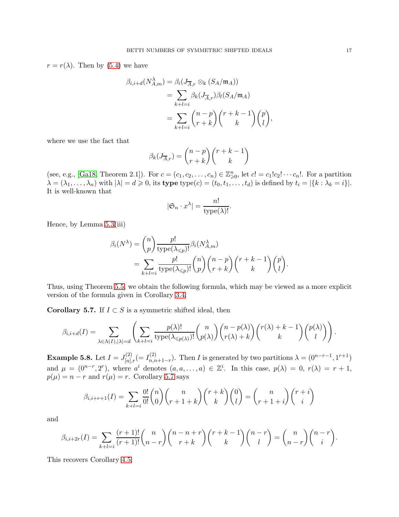$r = r(\lambda)$ . Then by [\(5.4\)](#page-13-2) we have

$$
\beta_{i,i+d}(N_{A,m}^{\lambda}) = \beta_i(J_{\overline{A},r} \otimes_{\mathbb{k}} (S_A/\mathfrak{m}_A))
$$
  
= 
$$
\sum_{k+l=i} \beta_k(J_{\overline{A},r})\beta_l(S_A/\mathfrak{m}_A)
$$
  
= 
$$
\sum_{k+l=i} {n-p \choose r+k} {r+k-1 \choose k} {p \choose l},
$$

where we use the fact that

$$
\beta_k(J_{\overline{A},r}) = \binom{n-p}{r+k} \binom{r+k-1}{k}
$$

(see, e.g., [\[Ga18,](#page-23-18) Theorem 2.1]). For  $c = (c_1, c_2, \ldots, c_n) \in \mathbb{Z}_{\geqslant 0}^n$ , let  $c! = c_1!c_2! \cdots c_n!$ . For a partition  $\lambda = (\lambda_1, \ldots, \lambda_n)$  with  $|\lambda| = d \geq 0$ , its **type** type $(c) = (t_0, t_1, \ldots, t_d)$  is defined by  $t_i = |\{k : \lambda_k = i\}|$ . It is well-known that

$$
|\mathfrak{S}_n \cdot x^{\lambda}| = \frac{n!}{\text{type}(\lambda)!}.
$$

Hence, by Lemma [5.3\(](#page-14-1)iii)

$$
\beta_i(N^{\lambda}) = {n \choose p} \frac{p!}{\text{type}(\lambda_{\leq p})!} \beta_i(N^{\lambda}_{A,m})
$$
  
= 
$$
\sum_{k+l=i} \frac{p!}{\text{type}(\lambda_{\leq p})!} {n \choose p} {n-p \choose r+k} {r+k-1 \choose k} {p \choose l}.
$$

Thus, using Theorem [5.5,](#page-14-0) we obtain the following formula, which may be viewed as a more explicit version of the formula given in Corollary [3.4.](#page-8-0)

<span id="page-16-0"></span>Corollary 5.7. If  $I \subset S$  is a symmetric shifted ideal, then

$$
\beta_{i,i+d}(I) = \sum_{\lambda \in \Lambda(I), |\lambda| = d} \left( \sum_{k+l=i} \frac{p(\lambda)!}{\text{type}(\lambda_{\leq p(\lambda)})!} {n \choose p(\lambda)} {n-p(\lambda) \choose r(\lambda)+k} {r(\lambda)+k-1 \choose k} {p(\lambda) \choose l} \right).
$$

**Example 5.8.** Let  $I = J_{[n]}^{(2)}$  $\chi^{(2)}_{[n],r} (= I_{n,n}^{(2)}$  $n_{n,n+1-r}^{(2)}$ . Then I is generated by two partitions  $\lambda = (0^{n-r-1}, 1^{r+1})$ and  $\mu = (0^{n-r}, 2^r)$ , where  $a^i$  denotes  $(a, a, \ldots, a) \in \mathbb{Z}^i$ . In this case,  $p(\lambda) = 0$ ,  $r(\lambda) = r + 1$ ,  $p(\mu) = n - r$  and  $r(\mu) = r$ . Corollary [5.7](#page-16-0) says

$$
\beta_{i,i+r+1}(I) = \sum_{k+l=i} \frac{0!}{0!} \binom{n}{0} \binom{n}{r+1+k} \binom{r+k}{k} \binom{0}{l} = \binom{n}{r+1+i} \binom{r+i}{i}
$$

and

$$
\beta_{i,i+2r}(I) = \sum_{k+l=i} \frac{(r+1)!}{(r+1)!} \binom{n}{n-r} \binom{n-n+r}{r+k} \binom{r+k-1}{k} \binom{n-r}{l} = \binom{n}{n-r} \binom{n-r}{i}.
$$

This recovers Corollary [4.5.](#page-10-1)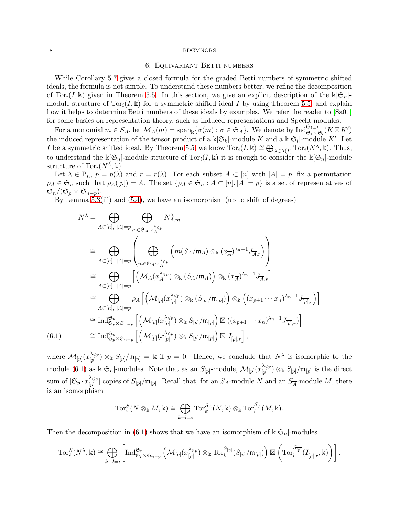### 6. Equivariant Betti numbers

<span id="page-17-0"></span>While Corollary [5.7](#page-16-0) gives a closed formula for the graded Betti numbers of symmetric shifted ideals, the formula is not simple. To understand these numbers better, we refine the decomposition of Tor<sub>i</sub> $(I, \mathbb{k})$  given in Theorem [5.5.](#page-14-0) In this section, we give an explicit description of the  $\mathbb{k}[\mathfrak{S}_n]$ module structure of  $Tor_i(I, \mathbb{k})$  for a symmetric shifted ideal I by using Theorem [5.5,](#page-14-0) and explain how it helps to determine Betti numbers of these ideals by examples. We refer the reader to [\[Sa01\]](#page-23-20) for some basics on representation theory, such as induced representations and Specht modules.

For a monomial  $m \in S_A$ , let  $\mathcal{M}_A(m) = \text{span}_{\mathbb{k}} \{ \sigma(m) : \sigma \in \mathfrak{S}_A \}$ . We denote by  $\text{Ind}_{\mathfrak{S}_k \times \mathfrak{S}_l}^{\mathfrak{S}_{k+l}}(K \boxtimes K')$ the induced representation of the tensor product of a  $\Bbbk[\mathfrak{S}_k]$ -module K and a  $\Bbbk[\mathfrak{S}_l]$ -module K'. Let *I* be a symmetric shifted ideal. By Theorem [5.5,](#page-14-0) we know  $\text{Tor}_i(I, \mathbb{k}) \cong \bigoplus_{\lambda \in \Lambda(I)} \text{Tor}_i(N^{\lambda}, \mathbb{k})$ . Thus, to understand the  $\Bbbk[\mathfrak{S}_n]$ -module structure of  $\text{Tor}_i(I,\Bbbk)$  it is enough to consider the  $\Bbbk[\mathfrak{S}_n]$ -module structure of  $\text{Tor}_i(N^{\overline{\lambda}}, \mathbb{k}).$ 

Let  $\lambda \in P_n$ ,  $p = p(\lambda)$  and  $r = r(\lambda)$ . For each subset  $A \subset [n]$  with  $|A| = p$ , fix a permutation  $\rho_A \in \mathfrak{S}_n$  such that  $\rho_A([p]) = A$ . The set  $\{\rho_A \in \mathfrak{S}_n : A \subset [n], |A| = p\}$  is a set of representatives of  $\mathfrak{S}_n/(\mathfrak{S}_p\times \mathfrak{S}_{n-p}).$ 

By Lemma [5.3\(](#page-14-1)iii) and [\(5.4\)](#page-13-2), we have an isomorphism (up to shift of degrees)

$$
N^{\lambda} = \bigoplus_{A \subset [n], |A| = p} \bigoplus_{m \in \mathfrak{S}_A \cdot x_A^{\lambda \leq p}} N^{\lambda}_{A,m}
$$
  
\n
$$
\cong \bigoplus_{A \subset [n], |A| = p} \left( \bigoplus_{m \in \mathfrak{S}_A \cdot x_A^{\lambda \leq p}} \left( m(S_A / \mathfrak{m}_A) \otimes_{\mathbb{k}} (x_A)^{\lambda_n - 1} J_{A,r} \right) \right)
$$
  
\n
$$
\cong \bigoplus_{A \subset [n], |A| = p} \left[ \left( \mathcal{M}_A (x_A^{\lambda \leq p}) \otimes_{\mathbb{k}} (S_A / \mathfrak{m}_A) \right) \otimes_{\mathbb{k}} (x_A)^{\lambda_n - 1} J_{A,r} \right]
$$
  
\n
$$
\cong \bigoplus_{A \subset [n], |A| = p} \rho_A \left[ \left( \mathcal{M}_{[p]} (x_{[p]}^{\lambda \leq p}) \otimes_{\mathbb{k}} (S_{[p]} / \mathfrak{m}_{[p]}) \right) \otimes_{\mathbb{k}} \left( (x_{p+1} \cdots x_n)^{\lambda_n - 1} J_{\overline{[p]},r} \right) \right]
$$
  
\n
$$
\cong \operatorname{Ind}_{\mathfrak{S}_p \times \mathfrak{S}_{n-p}}^{\mathfrak{S}_n} \left[ \left( \mathcal{M}_{[p]} (x_{[p]}^{\lambda \leq p}) \otimes_{\mathbb{k}} S_{[p]} / \mathfrak{m}_{[p]} \right) \boxtimes (x_{p+1} \cdots x_n)^{\lambda_n - 1} J_{\overline{[p]},r} \right]
$$
  
\n(6.1)  
\n
$$
\cong \operatorname{Ind}_{\mathfrak{S}_p \times \mathfrak{S}_{n-p}}^{\mathfrak{S}_n} \left[ \left( \mathcal{M}_{[p]} (x_{[p]}^{\lambda \leq p}) \otimes_{\mathbb{k}} S_{[p]} / \mathfrak{m}_{[p]} \right) \boxtimes J_{\overline{[p]},r} \right],
$$

<span id="page-17-1"></span>where  $\mathcal{M}_{[p]}(x_{[p]}^{\lambda_{\leq p}})$  $\binom{\lambda_{\leq p}}{[p]}$   $\otimes_k S_{[p]}/\mathfrak{m}_{[p]} = \mathbb{k}$  if  $p = 0$ . Hence, we conclude that  $N^{\lambda}$  is isomorphic to the module [\(6.1\)](#page-17-1) as  $\Bbbk[\mathfrak{S}_n]$ -modules. Note that as an  $S_{[p]}$ -module,  $\mathcal{M}_{[p]}(x_{[p]}^{\lambda \leq p})$  $\binom{\lambda_{\leq p}}{[p]} \otimes_{\Bbbk} S_{[p]}/\mathfrak{m}_{[p]}$  is the direct sum of  $|\mathfrak{S}_p \cdot x_{[p]}^{\lambda_{\leq p}}$  $\frac{\lambda_{\leq p}}{[p]}$  copies of  $S_{[p]}/\mathfrak{m}_{[p]}$ . Recall that, for an  $S_A$ -module N and an  $S_{\overline{A}}$ -module M, there is an isomorphism

$$
\operatorname{Tor}_i^S(N\otimes_{\Bbbk}M,\Bbbk)\cong \bigoplus_{k+l=i}\operatorname{Tor}_k^{S_A}(N,\Bbbk)\otimes_{\Bbbk}\operatorname{Tor}_l^{S_A}(M,\Bbbk).
$$

Then the decomposition in [\(6.1\)](#page-17-1) shows that we have an isomorphism of  $\mathbb{K}[\mathfrak{S}_n]$ -modules

$$
\operatorname{Tor}_i^S(N^\lambda, \Bbbk) \cong \bigoplus_{k+l = i} \left[ \operatorname{Ind}_{\mathfrak{S}_p \times \mathfrak{S}_{n-p}}^{\mathfrak{S}_n} \left( \mathcal{M}_{[p]}(x_{[p]}^{\lambda_{\leq p}}) \otimes_{\Bbbk} \operatorname{Tor}_k^{S_{[p]}}(S_{[p]}/\mathfrak{m}_{[p]}) \right) \boxtimes \left( \operatorname{Tor}_l^{S_{[p]}}(I_{\overline{[p]},r},\Bbbk) \right) \right].
$$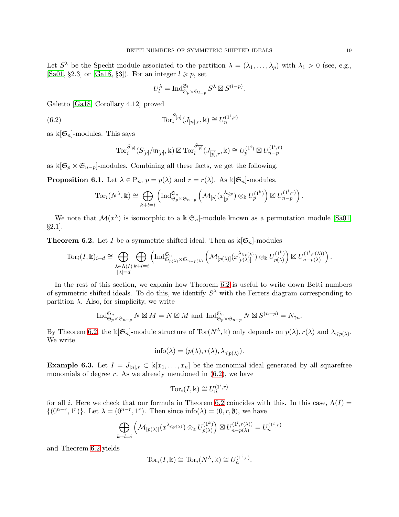Let  $S^{\lambda}$  be the Specht module associated to the partition  $\lambda = (\lambda_1, \ldots, \lambda_p)$  with  $\lambda_1 > 0$  (see, e.g., [\[Sa01,](#page-23-20) §2.3] or [\[Ga18,](#page-23-18) §3]). For an integer  $l \geq p$ , set

<span id="page-18-2"></span>
$$
U_l^{\lambda} = \operatorname{Ind}_{\mathfrak{S}_p \times \mathfrak{S}_{l-p}}^{\mathfrak{S}_l} S^{\lambda} \boxtimes S^{(l-p)}.
$$

Galetto [\[Ga18,](#page-23-18) Corollary 4.12] proved

(6.2) 
$$
\operatorname{Tor}_{i}^{S_{[n]}}(J_{[n],r}, \mathbb{k}) \cong U_{n}^{(1^{i},r)}
$$

as  $\Bbbk[\mathfrak{S}_n]$ -modules. This says

$$
\mathrm{Tor}_{i}^{S_{[p]}}(S_{[p]}/\mathfrak{m}_{[p]},\Bbbk)\boxtimes \mathrm{Tor}_{l}^{S_{\overline{[p]}}}(J_{\overline{[p]},r},\Bbbk)\cong U_p^{(1^i)}\boxtimes U_{n-p}^{(1^i,r)}
$$

as  $\Bbbk[\mathfrak{S}_p \times \mathfrak{S}_{n-p}]$ -modules. Combining all these facts, we get the following.

<span id="page-18-1"></span>**Proposition 6.1.** Let  $\lambda \in P_n$ ,  $p = p(\lambda)$  and  $r = r(\lambda)$ . As  $\mathbb{K}[\mathfrak{S}_n]$ -modules,

$$
\operatorname{Tor}_i(N^{\lambda}, \Bbbk) \cong \bigoplus_{k+l=i} \left( \operatorname{Ind}_{\mathfrak{S}_p \times \mathfrak{S}_{n-p}}^{\mathfrak{S}_n} \left( \mathcal{M}_{[p]}(x_{[p]}^{\lambda \leq p}) \otimes_{\Bbbk} U_p^{(1^k)} \right) \boxtimes U_{n-p}^{(1^l,r)} \right).
$$

We note that  $\mathcal{M}(x^{\lambda})$  is isomorphic to a  $\mathbb{k}[\mathfrak{S}_n]$ -module known as a permutation module [\[Sa01,](#page-23-20) §2.1].

<span id="page-18-0"></span>**Theorem 6.2.** Let I be a symmetric shifted ideal. Then as  $\mathbb{K}[\mathfrak{S}_n]$ -modules

$$
\operatorname{Tor}_i(I,\Bbbk)_{i+d} \cong \bigoplus_{\substack{\lambda \in \Lambda(I) \\ |\lambda| = d}} \bigoplus_{k+l = i} \left( \operatorname{Ind}_{\mathfrak{S}_{p(\lambda)} \times \mathfrak{S}_{n-p(\lambda)}}^{\mathfrak{S}_n} \left( \mathcal{M}_{[p(\lambda)]}(x_{[p(\lambda)]}^{\lambda \leq p(\lambda)}) \otimes_{\Bbbk} U_{p(\lambda)}^{(1^k)} \right) \boxtimes U_{n-p(\lambda)}^{(1^l,r(\lambda))} \right).
$$

In the rest of this section, we explain how Theorem [6.2](#page-18-0) is useful to write down Betti numbers of symmetric shifted ideals. To do this, we identify  $S^{\lambda}$  with the Ferrers diagram corresponding to partition  $\lambda$ . Also, for simplicity, we write

$$
\operatorname{Ind}_{\mathfrak{S}_p \times \mathfrak{S}_{n-p}}^{\mathfrak{S}_n} N \boxtimes M = N \boxtimes M \text{ and } \operatorname{Ind}_{\mathfrak{S}_p \times \mathfrak{S}_{n-p}}^{\mathfrak{S}_n} N \boxtimes S^{(n-p)} = N_{\uparrow n}.
$$

By Theorem [6.2,](#page-18-0) the  $\Bbbk[\mathfrak{S}_n]$ -module structure of  $\text{Tor}(N^\lambda,\Bbbk)$  only depends on  $p(\lambda), r(\lambda)$  and  $\lambda_{\leq p(\lambda)}$ . We write

$$
\text{info}(\lambda) = (p(\lambda), r(\lambda), \lambda_{\leq p(\lambda)}).
$$

**Example 6.3.** Let  $I = J_{[n],r} \subset \mathbb{k}[x_1,\ldots,x_n]$  be the monomial ideal generated by all squarefree monomials of degree  $r$ . As we already mentioned in  $(6.2)$ , we have

$$
\operatorname{Tor}_i(I,\Bbbk) \cong U_n^{(1^i,r)}
$$

for all i. Here we check that our formula in Theorem [6.2](#page-18-0) coincides with this. In this case,  $\Lambda(I)$  =  $\{(0^{n-r},1^r)\}\.$  Let  $\lambda = (0^{n-r},1^r)$ . Then since info( $\lambda$ ) =  $(0,r,\emptyset)$ , we have

$$
\bigoplus_{k+l=i} \left( \mathcal{M}_{[p(\lambda)]}(x^{\lambda_{\leq p(\lambda)}}) \otimes_{\Bbbk} U_{p(\lambda)}^{(1^k)} \right) \boxtimes U_{n-p(\lambda)}^{(1^l,r(\lambda))} = U_n^{(1^i,r)}
$$

and Theorem [6.2](#page-18-0) yields

$$
Tor_i(I, \mathbb{k}) \cong Tor_i(N^{\lambda}, \mathbb{k}) \cong U_n^{(1^i, r)}.
$$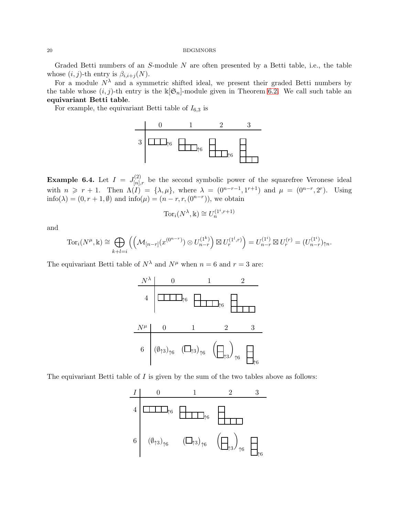Graded Betti numbers of an S-module N are often presented by a Betti table, i.e., the table whose  $(i, j)$ -th entry is  $\beta_{i,i+j}(N)$ .

For a module  $N^{\lambda}$  and a symmetric shifted ideal, we present their graded Betti numbers by the table whose  $(i, j)$ -th entry is the  $\mathbb{k}[\mathfrak{S}_n]$ -module given in Theorem [6.2.](#page-18-0) We call such table an equivariant Betti table.

For example, the equivariant Betti table of  $I_{6,3}$  is



**Example 6.4.** Let  $I = J_{[n]}^{(2)}$  $\binom{[n]}{[n],r}$  be the second symbolic power of the squarefree Veronese ideal with  $n \geq r+1$ . Then  $\Lambda(I) = {\lambda, \mu}$ , where  $\lambda = (0^{n-r-1}, 1^{r+1})$  and  $\mu = (0^{n-r}, 2^r)$ . Using  $\text{info}(\lambda) = (0, r + 1, \emptyset)$  and  $\text{info}(\mu) = (n - r, r, (0^{n-r}))$ , we obtain

$$
\mathrm{Tor}_i(N^\lambda,\Bbbk)\cong U_n^{(1^i,r+1)}
$$

and

$$
Tor_i(N^{\mu}, \mathbb{k}) \cong \bigoplus_{k+l=i} \left( \left( \mathcal{M}_{[n-r]}(x^{(0^{n-r})}) \otimes U_{n-r}^{(1^k)} \right) \boxtimes U_r^{(1^l,r)} \right) = U_{n-r}^{(1^i)} \boxtimes U_r^{(r)} = (U_{n-r}^{(1^i)})_{\uparrow n}.
$$

The equivariant Betti table of  $N^{\lambda}$  and  $N^{\mu}$  when  $n = 6$  and  $r = 3$  are:



The equivariant Betti table of  $I$  is given by the sum of the two tables above as follows:

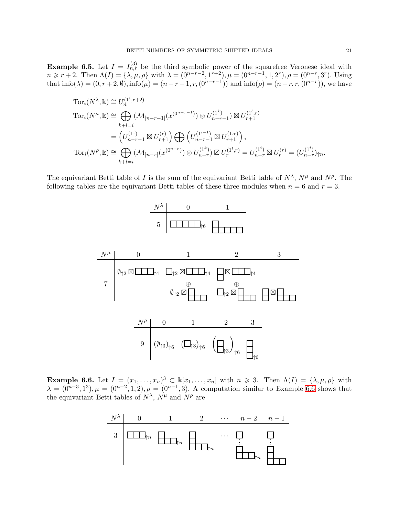**Example 6.5.** Let  $I = I_{n,r}^{(3)}$  be the third symbolic power of the squarefree Veronese ideal with  $n \ge r+2$ . Then  $\Lambda(I) = \{\lambda, \mu, \rho\}$  with  $\lambda = (0^{n-r-2}, 1^{r+2}), \mu = (0^{n-r-1}, 1, 2^r), \rho = (0^{n-r}, 3^r)$ . Using that  $\text{info}(\lambda) = (0, r + 2, \emptyset), \text{info}(\mu) = (n - r - 1, r, (0^{n-r-1}))$  and  $\text{info}(\rho) = (n - r, r, (0^{n-r}))$ , we have

$$
Tor_{i}(N^{\lambda}, \mathbb{k}) \cong U_{n}^{(1^{i}, r+2)}
$$
  
\n
$$
Tor_{i}(N^{\mu}, \mathbb{k}) \cong \bigoplus_{k+l=i} (\mathcal{M}_{[n-r-1]}(x^{(0^{n-r-1})}) \otimes U_{n-r-1}^{(1^{k})}) \boxtimes U_{r+1}^{(1^{l}, r)}
$$
  
\n
$$
= \left(U_{n-r-1}^{(1^{i})} \boxtimes U_{r+1}^{(r)}\right) \bigoplus \left(U_{n-r-1}^{(1^{i-1})} \boxtimes U_{r+1}^{(1,r)}\right),
$$
  
\n
$$
Tor_{i}(N^{\rho}, \mathbb{k}) \cong \bigoplus_{k+l=i} (\mathcal{M}_{[n-r]}(x^{(0^{n-r})}) \otimes U_{n-r}^{(1^{k})}) \boxtimes U_{r}^{(1^{l}, r)} = U_{n-r}^{(1^{i})} \boxtimes U_{r}^{(r)} = (U_{n-r}^{(1^{i})})_{\uparrow n}.
$$

The equivariant Betti table of I is the sum of the equivariant Betti table of  $N^{\lambda}$ ,  $N^{\mu}$  and  $N^{\rho}$ . The following tables are the equivariant Betti tables of these three modules when  $n = 6$  and  $r = 3$ .



<span id="page-20-0"></span>**Example 6.6.** Let  $I = (x_1, \ldots, x_n)^3 \subset \mathbb{k}[x_1, \ldots, x_n]$  with  $n \geq 3$ . Then  $\Lambda(I) = \{\lambda, \mu, \rho\}$  with  $\lambda = (0^{n-3}, 1^3), \mu = (0^{n-2}, 1, 2), \rho = (0^{n-1}, 3).$  A computation similar to Example [6.6](#page-20-0) shows that the equivariant Betti tables of  $N^{\lambda}$ ,  $N^{\mu}$  and  $N^{\rho}$  are

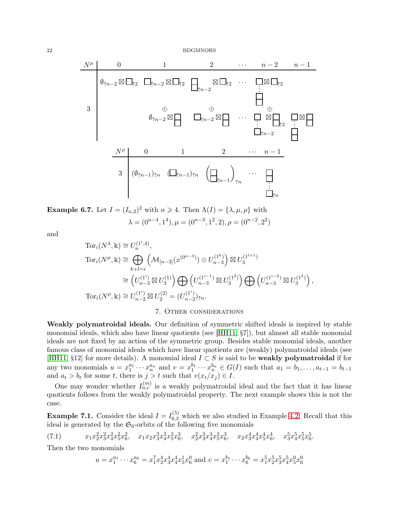| $N^{\mu}$                                                 | 0                                            | 1                                          | 2                                       | ...                    | $n-2$     | $n-1$ |
|-----------------------------------------------------------|----------------------------------------------|--------------------------------------------|-----------------------------------------|------------------------|-----------|-------|
| $\emptyset_{\uparrow n-2} \boxtimes \square_{\uparrow 2}$ | $\square_{\uparrow 2}$                       | $\square_{\uparrow 2}$                     | ...                                     | $\square_{\uparrow 2}$ |           |       |
| 3                                                         | $\emptyset_{\uparrow n-2} \boxtimes \square$ | $\square_{\uparrow n-2} \boxtimes \square$ | ...                                     | $\square$              | $\square$ |       |
| $N^{\rho}$                                                | 0                                            | 1                                          | 2                                       | ...                    | $n-1$     |       |
| 3                                                         | $(\emptyset_{\uparrow n-1})_{\uparrow n}$    | $(\square_{\uparrow n-1})_{\uparrow n}$    | $(\square_{\uparrow n-1})_{\uparrow n}$ | ...                    | $\square$ |       |

**Example 6.7.** Let  $I = (I_{n,2})^2$  with  $n \ge 4$ . Then  $\Lambda(I) = \{\lambda, \mu, \rho\}$  with  $\lambda = (0^{n-4}, 1^4), \mu = (0^{n-3}, 1^2, 2), \rho = (0^{n-2}, 2^2)$ 

and

$$
Tor_i(N^{\lambda}, \mathbb{k}) \cong U_n^{(1^i, 4)},
$$
  
\n
$$
Tor_i(N^{\mu}, \mathbb{k}) \cong \bigoplus_{k+l=i} \left( \mathcal{M}_{[n-3]}(x^{(0^{n-3})}) \otimes U_{n-3}^{(1^k)} \right) \boxtimes U_3^{(1^{l+1})}
$$
  
\n
$$
\cong \left( U_{n-3}^{(1^i)} \boxtimes U_3^{(1)} \right) \bigoplus \left( U_{n-3}^{(1^{i-1})} \boxtimes U_3^{(1^2)} \right) \bigoplus \left( U_{n-3}^{(1^{i-2})} \boxtimes U_3^{(1^3)} \right),
$$
  
\n
$$
Tor_i(N^{\rho}, \mathbb{k}) \cong U_{n-2}^{(1^i)} \boxtimes U_2^{(2)} = (U_{n-2}^{(1^i)})_{\uparrow n}.
$$

# 7. Other considerations

Weakly polymatroidal ideals. Our definition of symmetric shifted ideals is inspired by stable monomial ideals, which also have linear quotients (see [\[HH11,](#page-23-21) §7]), but almost all stable monomial ideals are not fixed by an action of the symmetric group. Besides stable monomial ideals, another famous class of monomial ideals which have linear quotients are (weakly) polymatroidal ideals (see [\[HH11,](#page-23-21) §12] for more details). A monomial ideal  $I \subset S$  is said to be **weakly polymatroidal** if for any two monomials  $u = x_1^{a_1} \cdots x_n^{a_n}$  and  $v = x_1^{b_1} \cdots x_n^{b_n} \in G(I)$  such that  $a_1 = b_1, \ldots, a_{t-1} = b_{t-1}$ and  $a_t > b_t$  for some t, there is  $j > t$  such that  $v(x_t/x_j) \in I$ .

One may wonder whether  $I_{n,c}^{(m)}$  is a weakly polymatroidal ideal and the fact that it has linear quotients follows from the weakly polymatroidal property. The next example shows this is not the case.

**Example 7.1.** Consider the ideal  $I = I_{6,3}^{(5)}$  which we also studied in Example [4.2.](#page-8-5) Recall that this ideal is generated by the  $\mathfrak{S}_6$ -orbits of the following five monomials

$$
(7.1) \t x_1 x_2^2 x_3^2 x_4^2 x_5^2 x_6^2, \t x_1 x_2 x_3^3 x_4^3 x_5^3 x_6^3, \t x_2^2 x_3^3 x_4^3 x_5^3 x_6^3, \t x_2 x_3^4 x_4^4 x_5^4 x_6^4, \t x_3^5 x_4^5 x_5^5 x_6^5.
$$

Then the two monomials

<span id="page-21-0"></span>
$$
u = x_1^{a_1} \cdots x_6^{a_6} = x_1^7 x_2^4 x_3^4 x_4^4 x_5^1 x_6^0
$$
 and  $v = x_1^{b_1} \cdots x_6^{b_6} = x_1^5 x_2^5 x_3^5 x_4^5 x_5^0 x_6^0$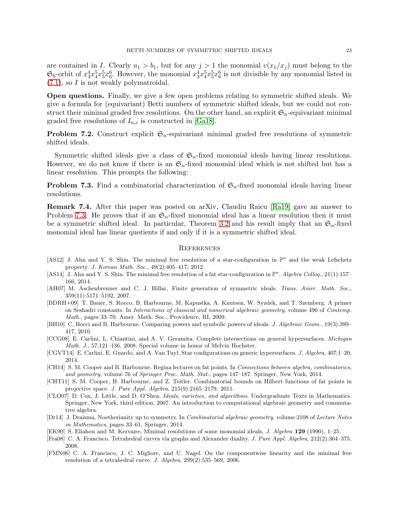are contained in I. Clearly  $a_1 > b_1$ , but for any  $j > 1$  the monomial  $v(x_1/x_j)$  must belong to the  $\mathfrak{S}_6$ -orbit of  $x_3^4x_4^5x_5^6x_6^6$ . However, the monomial  $x_3^4x_4^5x_5^5x_6^6$  is not divisible by any monomial listed in  $(7.1)$ , so I is not weakly polymatroidal.

Open questions. Finally, we give a few open problems relating to symmetric shifted ideals. We give a formula for (equivariant) Betti numbers of symmetric shifted ideals, but we could not construct their minimal graded free resolutions. On the other hand, an explicit  $\mathfrak{S}_n$ -equivariant minimal graded free resolutions of  $I_{n,c}$  is constructed in [\[Ga18\]](#page-23-18).

**Problem 7.2.** Construct explicit  $\mathfrak{S}_n$ -equivariant minimal graded free resolutions of symmetric shifted ideals.

Symmetric shifted ideals give a class of  $\mathfrak{S}_n$ -fixed monomial ideals having linear resolutions. However, we do not know if there is an  $\mathfrak{S}_n$ -fixed monomial ideal which is not shifted but has a linear resolution. This prompts the following:

<span id="page-22-14"></span>**Problem 7.3.** Find a combinatorial characterization of  $\mathfrak{S}_n$ -fixed monomial ideals having linear resolutions.

Remark 7.4. After this paper was posted on arXiv, Claudiu Raicu [\[Ra19\]](#page-23-22) gave an answer to Problem [7.3.](#page-22-14) He proves that if an  $\mathfrak{S}_n$ -fixed monomial ideal has a linear resolution then it must be a symmetric shifted ideal. In particular, Theorem [3.2](#page-5-0) and his result imply that an  $\mathfrak{S}_n$ -fixed monomial ideal has linear quotients if and only if it is a symmetric shifted ideal.

### **REFERENCES**

- <span id="page-22-3"></span>[AS12] J. Ahn and Y. S. Shin. The minimal free resolution of a star-configuration in  $\mathbb{P}^n$  and the weak Lefschetz property. J. Korean Math. Soc., 49(2):405–417, 2012.
- <span id="page-22-4"></span>[AS14] J. Ahn and Y. S. Shin. The minimal free resolution of a fat star-configuration in  $\mathbb{P}^n$ . Algebra Colloq., 21(1):157-166, 2014.
- <span id="page-22-0"></span>[AH07] M. Aschenbrenner and C. J. Hillar, Finite generation of symmetric ideals. Trans. Amer. Math. Soc., 359(11):5171–5192, 2007.
- <span id="page-22-5"></span>[BDRH+09] T. Bauer, S. Rocco, B. Harbourne, M. Kapustka, A. Knutsen, W. Syzdek, and T. Szemberg. A primer on Seshadri constants. In Interactions of classical and numerical algebraic geometry, volume 496 of Contemp. Math., pages 33–70. Amer. Math. Soc., Providence, RI, 2009.
- <span id="page-22-6"></span>[BH10] C. Bocci and B. Harbourne. Comparing powers and symbolic powers of ideals. J. Algebraic Geom., 19(3):399– 417, 2010.
- <span id="page-22-7"></span>[CCG08] E. Carlini, L. Chiantini, and A. V. Geramita. Complete intersections on general hypersurfaces. Michigan Math. J., 57:121–136, 2008. Special volume in honor of Melvin Hochster.
- <span id="page-22-8"></span>[CGVT14] E. Carlini, E. Guardo, and A. Van Tuyl. Star configurations on generic hypersurfaces. J. Algebra, 407:1–20, 2014.
- <span id="page-22-13"></span>[CH14] S. M. Cooper and B. Harbourne. Regina lectures on fat points. In Connections between algebra, combinatorics, and geometry, volume 76 of Springer Proc. Math. Stat., pages 147–187. Springer, New York, 2014.
- <span id="page-22-9"></span>[CHT11] S. M. Cooper, B. Harbourne, and Z. Teitler. Combinatorial bounds on Hilbert functions of fat points in projective space. J. Pure Appl. Algebra, 215(9):2165–2179, 2011.
- <span id="page-22-12"></span>[CLO07] D. Cox, J. Little, and D. O'Shea. Ideals, varieties, and algorithms. Undergraduate Texts in Mathematics. Springer, New York, third edition, 2007. An introduction to computational algebraic geometry and commutative algebra.
- <span id="page-22-1"></span>[Dr14] J. Draisma, Noetherianity up to symmetry. In Combinatorial algebraic geometry, volume 2108 of Lecture Notes in Mathematics, pages 33–61, Springer, 2014.
- <span id="page-22-2"></span>[EK90] S. Eliahou and M. Kervaire, Minimal resolutions of some monomial ideals, J. Algebra 129 (1990), 1–25.
- <span id="page-22-10"></span>[Fra08] C. A. Francisco. Tetrahedral curves via graphs and Alexander duality. J. Pure Appl. Algebra, 212(2):364–375, 2008.
- <span id="page-22-11"></span>[FMN06] C. A. Francisco, J. C. Migliore, and U. Nagel. On the componentwise linearity and the minimal free resolution of a tetrahedral curve. J. Algebra, 299(2):535–569, 2006.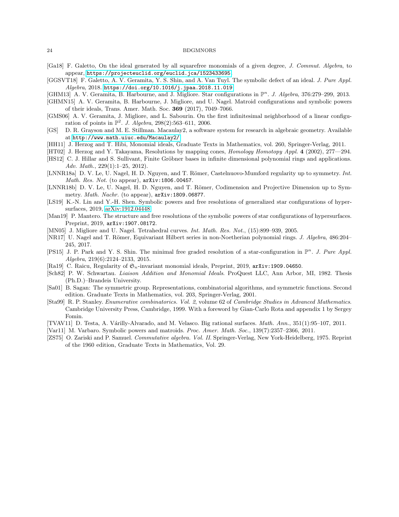- <span id="page-23-18"></span>[Ga18] F. Galetto, On the ideal generated by all squarefree monomials of a given degree, J. Commut. Algebra, to appear, <https://projecteuclid.org/euclid.jca/1523433695>.
- <span id="page-23-19"></span>[GGSVT18] F. Galetto, A. V. Geramita, Y. S. Shin, and A. Van Tuyl. The symbolic defect of an ideal. J. Pure Appl. Algebra, 2018. <https://doi.org/10.1016/j.jpaa.2018.11.019>
- <span id="page-23-12"></span>[GHM13] A. V. Geramita, B. Harbourne, and J. Migliore. Star configurations in  $\mathbb{P}^n$ . J. Algebra, 376:279-299, 2013.
- <span id="page-23-13"></span>[GHMN15] A. V. Geramita, B. Harbourne, J. Migliore, and U. Nagel. Matroid configurations and symbolic powers of their ideals, Trans. Amer. Math. Soc. 369 (2017), 7049–7066.
- <span id="page-23-6"></span>[GMS06] A. V. Geramita, J. Migliore, and L. Sabourin. On the first infinitesimal neighborhood of a linear configuration of points in  $\mathbb{P}^2$ . *J. Algebra*, 298(2):563-611, 2006.
- <span id="page-23-17"></span>[GS] D. R. Grayson and M. E. Stillman. Macaulay2, a software system for research in algebraic geometry. Available at <http://www.math.uiuc.edu/Macaulay2/>.
- <span id="page-23-21"></span>[HH11] J. Herzog and T. Hibi, Monomial ideals, Graduate Texts in Mathematics, vol. 260, Springer-Verlag, 2011.
- <span id="page-23-16"></span>[HT02] J. Herzog and Y. Takayama, Resolutions by mapping cones, Homology Homotopy Appl. 4 (2002), 277—294.
- <span id="page-23-0"></span>[HS12] C. J. Hillar and S. Sullivant, Finite Gröbner bases in infinite dimensional polynomial rings and applications. Adv. Math.,  $229(1):1-25$ ,  $2012$ ).
- <span id="page-23-1"></span>[LNNR18a] D. V. Le, U. Nagel, H. D. Nguyen, and T. Römer, Castelnuovo-Mumford regularity up to symmetry. Int. Math. Res. Not. (to appear), arXiv:1806.00457.
- <span id="page-23-2"></span>[LNNR18b] D. V. Le, U. Nagel, H. D. Nguyen, and T. Römer, Codimension and Projective Dimension up to Symmetry. *Math. Nachr.* (to appear),  $arXiv:1809.06877$ .
- <span id="page-23-15"></span>[LS19] K.-N. Lin and Y.-H. Shen. Symbolic powers and free resolutions of generalized star configurations of hypersurfaces, 2019, [arXiv:1912.04448.](http://arxiv.org/abs/1912.04448)
- <span id="page-23-14"></span>[Man19] P. Mantero. The structure and free resolutions of the symbolic powers of star configurations of hypersurfaces. Preprint, 2019, arXiv:1907.08172.
- <span id="page-23-7"></span>[MN05] J. Migliore and U. Nagel. Tetrahedral curves. Int. Math. Res. Not., (15):899–939, 2005.
- <span id="page-23-3"></span>[NR17] U. Nagel and T. Römer, Equivariant Hilbert series in non-Noetherian polynomial rings. J. Algebra, 486:204– 245, 2017.
- <span id="page-23-8"></span>[PS15] J. P. Park and Y. S. Shin. The minimal free graded resolution of a star-configuration in  $\mathbb{P}^n$ . J. Pure Appl. Algebra, 219(6):2124–2133, 2015.
- <span id="page-23-22"></span>[Ra19] C. Raicu, Regularity of  $\mathfrak{S}_n$ -invariant monomial ideals, Preprint, 2019, arXiv:1909.04650.
- <span id="page-23-9"></span>[Sch82] P. W. Schwartau. Liaison Addition and Monomial Ideals. ProQuest LLC, Ann Arbor, MI, 1982. Thesis (Ph.D.)–Brandeis University.
- <span id="page-23-20"></span>[Sa01] B. Sagan: The symmetric group. Representations, combinatorial algorithms, and symmetric functions. Second edition. Graduate Texts in Mathematics, vol. 203, Springer-Verlag, 2001.
- <span id="page-23-4"></span>[Sta99] R. P. Stanley. Enumerative combinatorics. Vol. 2, volume 62 of Cambridge Studies in Advanced Mathematics. Cambridge University Press, Cambridge, 1999. With a foreword by Gian-Carlo Rota and appendix 1 by Sergey Fomin.
- <span id="page-23-10"></span>[TVAV11] D. Testa, A. Várilly-Alvarado, and M. Velasco. Big rational surfaces. Math. Ann., 351(1):95-107, 2011.
- <span id="page-23-11"></span>[Var11] M. Varbaro. Symbolic powers and matroids. Proc. Amer. Math. Soc., 139(7):2357–2366, 2011.
- <span id="page-23-5"></span>[ZS75] O. Zariski and P. Samuel. Commutative algebra. Vol. II. Springer-Verlag, New York-Heidelberg, 1975. Reprint of the 1960 edition, Graduate Texts in Mathematics, Vol. 29.